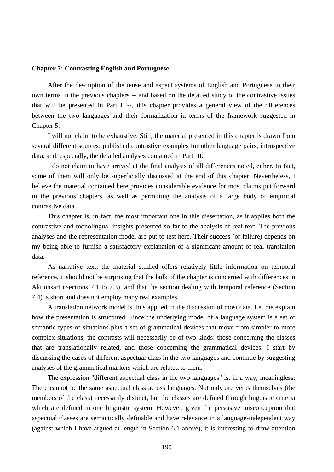#### **Chapter 7: Contrasting English and Portuguese**

After the description of the tense and aspect systems of English and Portuguese in their own terms in the previous chapters -- and based on the detailed study of the contrastive issues that will be presented in Part III--, this chapter provides a general view of the differences between the two languages and their formalization in terms of the framework suggested in Chapter 5.

I will not claim to be exhaustive. Still, the material presented in this chapter is drawn from several different sources: published contrastive examples for other language pairs, introspective data, and, especially, the detailed analyses contained in Part III.

I do not claim to have arrived at the final analysis of all differences noted, either. In fact, some of them will only be superficially discussed at the end of this chapter. Nevertheless, I believe the material contained here provides considerable evidence for most claims put forward in the previous chapters, as well as permitting the analysis of a large body of empirical contrastive data.

This chapter is, in fact, the most important one in this dissertation, as it applies both the contrastive and monolingual insights presented so far to the analysis of real text. The previous analyses and the representation model are put to test here. Their success (or failure) depends on my being able to furnish a satisfactory explanation of a significant amount of real translation data.

As narrative text, the material studied offers relatively little information on temporal reference, it should not be surprising that the bulk of the chapter is concerned with differences in Aktionsart (Sections 7.1 to 7.3), and that the section dealing with temporal reference (Section 7.4) is short and does not employ many real examples.

A translation network model is thus applied in the discussion of most data. Let me explain how the presentation is structured. Since the underlying model of a language system is a set of semantic types of situations plus a set of grammatical devices that move from simpler to more complex situations, the contrasts will necessarily be of two kinds: those concerning the classes that are translationally related, and those concerning the grammatical devices. I start by discussing the cases of different aspectual class in the two languages and continue by suggesting analyses of the grammatical markers which are related to them.

The expression "different aspectual class in the two languages" is, in a way, meaningless: There cannot be the same aspectual class across languages. Not only are verbs themselves (the members of the class) necessarily distinct, but the classes are defined through linguistic criteria which are defined in one linguistic system. However, given the pervasive misconception that aspectual classes are semantically definable and have relevance in a language-independent way (against which I have argued at length in Section 6.1 above), it is interesting to draw attention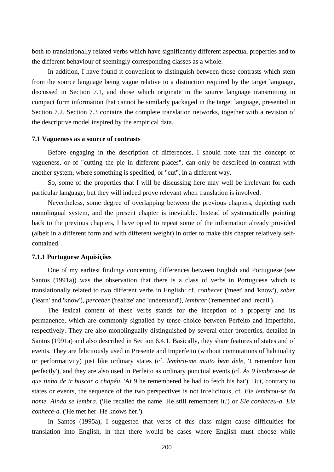both to translationally related verbs which have significantly different aspectual properties and to the different behaviour of seemingly corresponding classes as a whole.

In addition, I have found it convenient to distinguish between those contrasts which stem from the source language being vague relative to a distinction required by the target language, discussed in Section 7.1, and those which originate in the source language transmitting in compact form information that cannot be similarly packaged in the target language, presented in Section 7.2. Section 7.3 contains the complete translation networks, together with a revision of the descriptive model inspired by the empirical data.

### **7.1 Vagueness as a source of contrasts**

Before engaging in the description of differences, I should note that the concept of vagueness, or of "cutting the pie in different places", can only be described in contrast with another system, where something is specified, or "cut", in a different way.

So, some of the properties that I will be discussing here may well be irrelevant for each particular language, but they will indeed prove relevant when translation is involved.

Nevertheless, some degree of overlapping between the previous chapters, depicting each monolingual system, and the present chapter is inevitable. Instead of systematically pointing back to the previous chapters, I have opted to repeat some of the information already provided (albeit in a different form and with different weight) in order to make this chapter relatively selfcontained.

### **7.1.1 Portuguese Aquisições**

One of my earliest findings concerning differences between English and Portuguese (see Santos (1991a)) was the observation that there is a class of verbs in Portuguese which is translationally related to two different verbs in English: cf. *conhecer* ('meet' and 'know'), *saber* ('learn' and 'know'), *perceber* ('realize' and 'understand'), *lembrar* ('remember' and 'recall').

The lexical content of these verbs stands for the inception of a property and its permanence, which are commonly signalled by tense choice between Perfeito and Imperfeito, respectively. They are also monolingually distinguished by several other properties, detailed in Santos (1991a) and also described in Section 6.4.1. Basically, they share features of states and of events. They are felicitously used in Presente and Imperfeito (without connotations of habituality or performativity) just like ordinary states (cf. *lembro-me muito bem dele*, 'I remember him perfectly'), and they are also used in Perfeito as ordinary punctual events (cf. *Às 9 lembrou-se de que tinha de ir buscar o chapéu*, 'At 9 he remembered he had to fetch his hat'). But, contrary to states or events, the sequence of the two perspectives is not infelicitous, cf. *Ele lembrou-se do nome. Ainda se lembra.* ('He recalled the name. He still remembers it.') or *Ele conheceu-a. Ele conhece-a.* ('He met her. He knows her.').

In Santos (1995a), I suggested that verbs of this class might cause difficulties for translation into English, in that there would be cases where English must choose while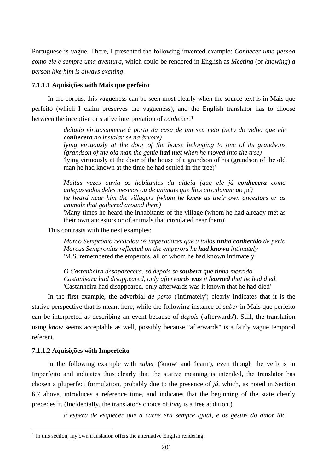Portuguese is vague. There, I presented the following invented example: *Conhecer uma pessoa como ele é sempre uma aventura*, which could be rendered in English as *Meeting* (or *knowing*) *a person like him is always exciting*.

## **7.1.1.1 Aquisições with Mais que perfeito**

In the corpus, this vagueness can be seen most clearly when the source text is in Mais que perfeito (which I claim preserves the vagueness), and the English translator has to choose between the inceptive or stative interpretation of *conhecer*:1

> *deitado virtuosamente à porta da casa de um seu neto (neto do velho que ele conhecera ao instalar-se na árvore)*

> *lying virtuously at the door of the house belonging to one of its grandsons (grandson of the old man the genie had met when he moved into the tree)*  'lying virtuously at the door of the house of a grandson of his (grandson of the old man he had known at the time he had settled in the tree)'

> *Muitas vezes ouvia os habitantes da aldeia (que ele já conhecera como antepassados deles mesmos ou de animais que lhes circulavam ao pé) he heard near him the villagers (whom he knew as their own ancestors or as animals that gathered around them)*

> 'Many times he heard the inhabitants of the village (whom he had already met as their own ancestors or of animals that circulated near them)'

This contrasts with the next examples:

*Marco Semprónio recordou os imperadores que a todos tinha conhecido de perto Marcus Sempronius reflected on the emperors he had known intimately*  'M.S. remembered the emperors, all of whom he had known intimately'

*O Castanheira desaparecera, só depois se soubera que tinha morrido. Castanheira had disappeared, only afterwards was it learned that he had died.*  'Castanheira had disappeared, only afterwards was it known that he had died'

In the first example, the adverbial *de perto* ('intimately') clearly indicates that it is the stative perspective that is meant here, while the following instance of *saber* in Mais que perfeito can be interpreted as describing an event because of *depois* ('afterwards'). Still, the translation using *know* seems acceptable as well, possibly because "afterwards" is a fairly vague temporal referent.

## **7.1.1.2 Aquisições with Imperfeito**

 $\overline{a}$ 

In the following example with *saber* ('know' and 'learn'), even though the verb is in Imperfeito and indicates thus clearly that the stative meaning is intended, the translator has chosen a pluperfect formulation, probably due to the presence of *já*, which, as noted in Section 6.7 above, introduces a reference time, and indicates that the beginning of the state clearly precedes it. (Incidentally, the translator's choice of *long* is a free addition.)

*à espera de esquecer que a carne era sempre igual, e os gestos do amor tão* 

<sup>&</sup>lt;sup>1</sup> In this section, my own translation offers the alternative English rendering.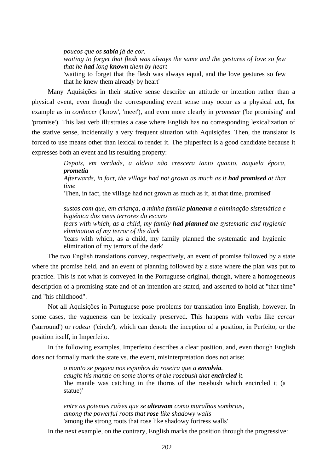*poucos que os sabia já de cor. waiting to forget that flesh was always the same and the gestures of love so few that he had long known them by heart*  'waiting to forget that the flesh was always equal, and the love gestures so few that he knew them already by heart'

Many Aquisições in their stative sense describe an attitude or intention rather than a physical event, even though the corresponding event sense may occur as a physical act, for example as in *conhecer* ('know', 'meet'), and even more clearly in *prometer* ('be promising' and 'promise'). This last verb illustrates a case where English has no corresponding lexicalization of the stative sense, incidentally a very frequent situation with Aquisições. Then, the translator is forced to use means other than lexical to render it. The pluperfect is a good candidate because it expresses both an event and its resulting property:

> *Depois, em verdade, a aldeia não crescera tanto quanto, naquela época, prometia*

> *Afterwards, in fact, the village had not grown as much as it had promised at that time*

'Then, in fact, the village had not grown as much as it, at that time, promised'

*sustos com que, em criança, a minha família planeava a eliminação sistemática e higiénica dos meus terrores do escuro* 

*fears with which, as a child, my family had planned the systematic and hygienic elimination of my terror of the dark* 

'fears with which, as a child, my family planned the systematic and hygienic elimination of my terrors of the dark'

The two English translations convey, respectively, an event of promise followed by a state where the promise held, and an event of planning followed by a state where the plan was put to practice. This is not what is conveyed in the Portuguese original, though, where a homogeneous description of a promising state and of an intention are stated, and asserted to hold at "that time" and "his childhood".

Not all Aquisições in Portuguese pose problems for translation into English, however. In some cases, the vagueness can be lexically preserved. This happens with verbs like *cercar* ('surround') or *rodear* ('circle'), which can denote the inception of a position, in Perfeito, or the position itself, in Imperfeito.

In the following examples, Imperfeito describes a clear position, and, even though English does not formally mark the state vs. the event, misinterpretation does not arise:

> *o manto se pegava nos espinhos da roseira que a envolvia. caught his mantle on some thorns of the rosebush that encircled it.*  'the mantle was catching in the thorns of the rosebush which encircled it (a statue)'

*entre as potentes raízes que se alteavam como muralhas sombrias, among the powerful roots that rose like shadowy walls*  'among the strong roots that rose like shadowy fortress walls'

In the next example, on the contrary, English marks the position through the progressive: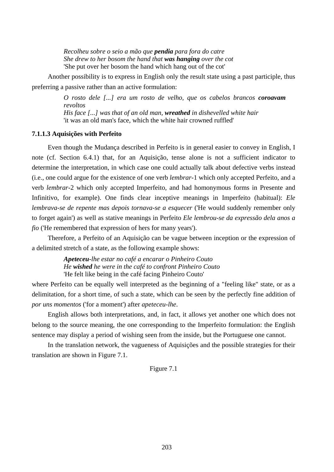*Recolheu sobre o seio a mão que pendia para fora do catre She drew to her bosom the hand that was hanging over the cot*  'She put over her bosom the hand which hang out of the cot'

Another possibility is to express in English only the result state using a past participle, thus preferring a passive rather than an active formulation:

> *O rosto dele [...] era um rosto de velho, que os cabelos brancos coroavam revoltos His face [...] was that of an old man, wreathed in dishevelled white hair*  'it was an old man's face, which the white hair crowned ruffled'

## **7.1.1.3 Aquisições with Perfeito**

Even though the Mudança described in Perfeito is in general easier to convey in English, I note (cf. Section 6.4.1) that, for an Aquisição, tense alone is not a sufficient indicator to determine the interpretation, in which case one could actually talk about defective verbs instead (i.e., one could argue for the existence of one verb *lembrar*-1 which only accepted Perfeito, and a verb *lembrar*-2 which only accepted Imperfeito, and had homonymous forms in Presente and Infinitivo, for example). One finds clear inceptive meanings in Imperfeito (habitual): *Ele lembrava-se de repente mas depois tornava-se a esquecer* ('He would suddenly remember only to forget again') as well as stative meanings in Perfeito *Ele lembrou-se da expressão dela anos a fio* ('He remembered that expression of hers for many years').

Therefore, a Perfeito of an Aquisição can be vague between inception or the expression of a delimited stretch of a state, as the following example shows:

> *Apeteceu-lhe estar no café a encarar o Pinheiro Couto He wished he were in the café to confront Pinheiro Couto*  'He felt like being in the café facing Pinheiro Couto'

where Perfeito can be equally well interpreted as the beginning of a "feeling like" state, or as a delimitation, for a short time, of such a state, which can be seen by the perfectly fine addition of *por uns momentos* ('for a moment') after *apeteceu-lhe*.

English allows both interpretations, and, in fact, it allows yet another one which does not belong to the source meaning, the one corresponding to the Imperfeito formulation: the English sentence may display a period of wishing seen from the inside, but the Portuguese one cannot.

In the translation network, the vagueness of Aquisições and the possible strategies for their translation are shown in Figure 7.1.

# Figure 7.1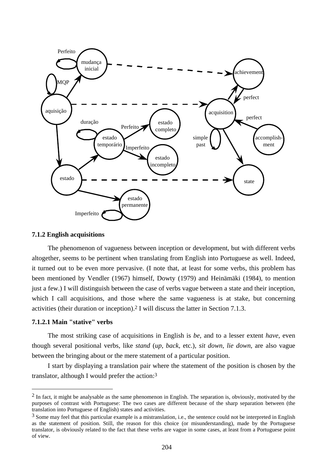

## **7.1.2 English acquisitions**

The phenomenon of vagueness between inception or development, but with different verbs altogether, seems to be pertinent when translating from English into Portuguese as well. Indeed, it turned out to be even more pervasive. (I note that, at least for some verbs, this problem has been mentioned by Vendler (1967) himself, Dowty (1979) and Heinämäki (1984), to mention just a few.) I will distinguish between the case of verbs vague between a state and their inception, which I call acquisitions, and those where the same vagueness is at stake, but concerning activities (their duration or inception).2 I will discuss the latter in Section 7.1.3.

## **7.1.2.1 Main "stative" verbs**

 $\overline{a}$ 

The most striking case of acquisitions in English is *be*, and to a lesser extent *have*, even though several positional verbs, like *stand* (*up*, *back*, etc.), *sit down*, *lie down*, are also vague between the bringing about or the mere statement of a particular position.

I start by displaying a translation pair where the statement of the position is chosen by the translator, although I would prefer the action:3

 $2$  In fact, it might be analysable as the same phenomenon in English. The separation is, obviously, motivated by the purposes of contrast with Portuguese: The two cases are different because of the sharp separation between (the translation into Portuguese of English) states and activities.

<sup>3</sup> Some may feel that this particular example is a mistranslation, i.e., the sentence could not be interpreted in English as the statement of position. Still, the reason for this choice (or misunderstanding), made by the Portuguese translator, is obviously related to the fact that these verbs are vague in some cases, at least from a Portuguese point of view.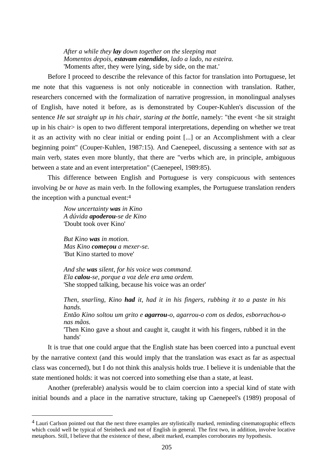*After a while they lay down together on the sleeping mat Momentos depois, estavam estendidos, lado a lado, na esteira.* 'Moments after, they were lying, side by side, on the mat.'

Before I proceed to describe the relevance of this factor for translation into Portuguese, let me note that this vagueness is not only noticeable in connection with translation. Rather, researchers concerned with the formalization of narrative progression, in monolingual analyses of English, have noted it before, as is demonstrated by Couper-Kuhlen's discussion of the sentence *He sat straight up in his chair, staring at the bottle*, namely: "the event <he sit straight up in his chair> is open to two different temporal interpretations, depending on whether we treat it as an activity with no clear initial or ending point [...] or an Accomplishment with a clear beginning point" (Couper-Kuhlen, 1987:15). And Caenepeel, discussing a sentence with *sat* as main verb, states even more bluntly, that there are "verbs which are, in principle, ambiguous between a state and an event interpretation" (Caenepeel, 1989:85).

This difference between English and Portuguese is very conspicuous with sentences involving *be* or *have* as main verb. In the following examples, the Portuguese translation renders the inception with a punctual event:4

> *Now uncertainty was in Kino A dúvida apoderou-se de Kino* 'Doubt took over Kino'

*But Kino was in motion. Mas Kino começou a mexer-se.* 'But Kino started to move'

 $\overline{a}$ 

*And she was silent, for his voice was command. Ela calou-se, porque a voz dele era uma ordem.*  'She stopped talking, because his voice was an order'

*Then, snarling, Kino had it, had it in his fingers, rubbing it to a paste in his hands. Então Kino soltou um grito e agarrou-o, agarrou-o com os dedos, esborrachou-o nas mãos.* 'Then Kino gave a shout and caught it, caught it with his fingers, rubbed it in the hands'

It is true that one could argue that the English state has been coerced into a punctual event by the narrative context (and this would imply that the translation was exact as far as aspectual class was concerned), but I do not think this analysis holds true. I believe it is undeniable that the state mentioned holds: it was not coerced into something else than a state, at least.

Another (preferable) analysis would be to claim coercion into a special kind of state with initial bounds and a place in the narrative structure, taking up Caenepeel's (1989) proposal of

<sup>4</sup> Lauri Carlson pointed out that the next three examples are stylistically marked, reminding cinematographic effects which could well be typical of Steinbeck and not of English in general. The first two, in addition, involve locative metaphors. Still, I believe that the existence of these, albeit marked, examples corroborates my hypothesis.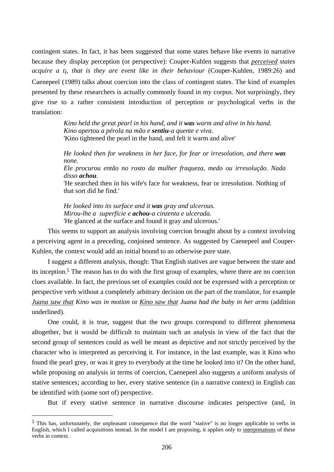contingent states. In fact, it has been suggested that some states behave like events in narrative because they display perception (or perspective): Couper-Kuhlen suggests that *perceived states acquire a ti, that is they are event like in their behaviour* (Couper-Kuhlen, 1989:26) and Caenepeel (1989) talks about coercion into the class of contingent states. The kind of examples presented by these researchers is actually commonly found in my corpus. Not surprisingly, they give rise to a rather consistent introduction of perception or psychological verbs in the translation:

> *Kino held the great pearl in his hand, and it was warm and alive in his hand. Kino apertou a pérola na mão e sentiu-a quente e viva.*  'Kino tightened the pearl in the hand, and felt it warm and alive'

*He looked then for weakness in her face, for fear or irresolution, and there was none. Ele procurou então no rosto da mulher fraqueza, medo ou irresolução. Nada disso achou.*  'He searched then in his wife's face for weakness, fear or irresolution. Nothing of that sort did he find.'

*He looked into its surface and it was gray and ulcerous. Mirou-lhe a superfície e achou-a cinzenta e ulcerada.*  'He glanced at the surface and found it gray and ulcerous.'

This seems to support an analysis involving coercion brought about by a context involving a perceiving agent in a preceding, conjoined sentence. As suggested by Caenepeel and Couper-Kuhlen, the context would add an initial bound to an otherwise pure state.

I suggest a different analysis, though: That English statives are vague between the state and its inception.5 The reason has to do with the first group of examples, where there are no coercion clues available. In fact, the previous set of examples could not be expressed with a perception or perspective verb without a completely arbitrary decision on the part of the translator, for example *Juana saw that Kino was in motion* or *Kino saw that Juana had the baby in her arms* (addition underlined).

One could, it is true, suggest that the two groups correspond to different phenomena altogether, but it would be difficult to maintain such an analysis in view of the fact that the second group of sentences could as well be meant as depictive and not strictly perceived by the character who is interpreted as perceiving it. For instance, in the last example, was it Kino who found the pearl grey, or was it grey to everybody at the time he looked into it? On the other hand, while proposing an analysis in terms of coercion, Caenepeel also suggests a uniform analysis of stative sentences; according to her, every stative sentence (in a narrative context) in English can be identified with (some sort of) perspective.

But if every stative sentence in narrative discourse indicates perspective (and, in

 $\overline{a}$ 

<sup>&</sup>lt;sup>5</sup> This has, unfortunately, the unpleasant consequence that the word "stative" is no longer applicable to verbs in English, which I called acquisitions instead. In the model I am proposing, it applies only to interpretations of these verbs in context.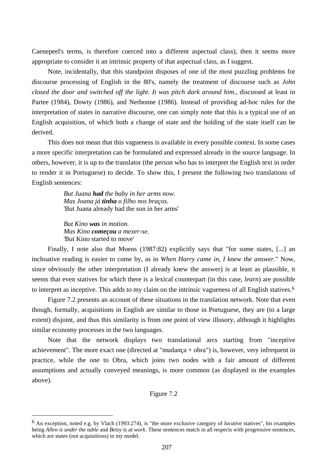Caenepeel's terms, is therefore coerced into a different aspectual class), then it seems more appropriate to consider it an intrinsic property of that aspectual class, as I suggest.

Note, incidentally, that this standpoint disposes of one of the most puzzling problems for discourse processing of English in the 80's, namely the treatment of discourse such as *John closed the door and switched off the light. It was pitch dark around him.*, discussed at least in Partee (1984), Dowty (1986), and Nerbonne (1986). Instead of providing ad-hoc rules for the interpretation of states in narrative discourse, one can simply note that this is a typical use of an English acquisition, of which both a change of state and the holding of the state itself can be derived.

This does not mean that this vagueness is available in every possible context. In some cases a more specific interpretation can be formulated and expressed already in the source language. In others, however, it is up to the translator (the person who has to interpret the English text in order to render it in Portuguese) to decide. To show this, I present the following two translations of English sentences:

> *But Juana had the baby in her arms now. Mas Joana já tinha o filho nos braços.* 'But Juana already had the son in her arms'

*But Kino was in motion. Mas Kino começou a mexer-se.* 'But Kino started to move'

 $\overline{a}$ 

Finally, I note also that Moens (1987:82) explicitly says that "for some states, [...] an inchoative reading is easier to come by, as in *When Harry came in, I knew the answer.*" Now, since obviously the other interpretation (I already knew the answer) is at least as plausible, it seems that even statives for which there is a lexical counterpart (in this case, *learn*) are possible to interpret as inceptive. This adds to my claim on the intrinsic vagueness of all English statives.6

Figure 7.2 presents an account of these situations in the translation network. Note that even though, formally, acquisitions in English are similar to those in Portuguese, they are (to a large extent) disjoint, and thus this similarity is from one point of view illusory, although it highlights similar economy processes in the two languages.

Note that the network displays two translational arcs starting from "inceptive achievement". The more exact one (directed at "mudança + obra") is, however, very infrequent in practice, while the one to Obra, which joins two nodes with a fair amount of different assumptions and actually conveyed meanings, is more common (as displayed in the examples above).

Figure 7.2

<sup>6</sup> An exception, noted e.g. by Vlach (1993:274), is "the more exclusive category of *locative* statives", his examples being *Allen is under the table* and *Betsy is at work*. These sentences match in all respects with progressive sentences, which are states (not acquisitions) in my model.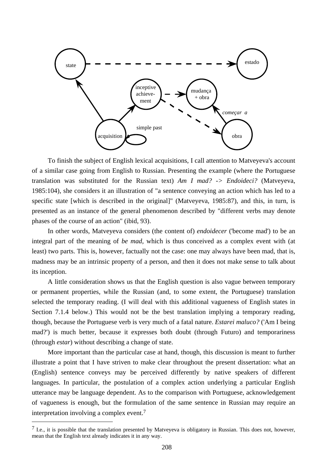

To finish the subject of English lexical acquisitions, I call attention to Matveyeva's account of a similar case going from English to Russian. Presenting the example (where the Portuguese translation was substituted for the Russian text) *Am I mad? -> Endoideci?* (Matveyeva, 1985:104), she considers it an illustration of "a sentence conveying an action which has led to a specific state [which is described in the original]" (Matveyeva, 1985:87), and this, in turn, is presented as an instance of the general phenomenon described by "different verbs may denote phases of the course of an action" (ibid, 93).

In other words, Matveyeva considers (the content of) *endoidecer* ('become mad') to be an integral part of the meaning of *be mad*, which is thus conceived as a complex event with (at least) two parts. This is, however, factually not the case: one may always have been mad, that is, madness may be an intrinsic property of a person, and then it does not make sense to talk about its inception.

A little consideration shows us that the English question is also vague between temporary or permanent properties, while the Russian (and, to some extent, the Portuguese) translation selected the temporary reading. (I will deal with this additional vagueness of English states in Section 7.1.4 below.) This would not be the best translation implying a temporary reading, though, because the Portuguese verb is very much of a fatal nature. *Estarei maluco?* ('Am I being mad?') is much better, because it expresses both doubt (through Futuro) and temporariness (through *estar*) without describing a change of state.

More important than the particular case at hand, though, this discussion is meant to further illustrate a point that I have striven to make clear throughout the present dissertation: what an (English) sentence conveys may be perceived differently by native speakers of different languages. In particular, the postulation of a complex action underlying a particular English utterance may be language dependent. As to the comparison with Portuguese, acknowledgement of vagueness is enough, but the formulation of the same sentence in Russian may require an interpretation involving a complex event.7

 $\overline{a}$ 

 $<sup>7</sup>$  I.e., it is possible that the translation presented by Matveyeva is obligatory in Russian. This does not, however,</sup> mean that the English text already indicates it in any way.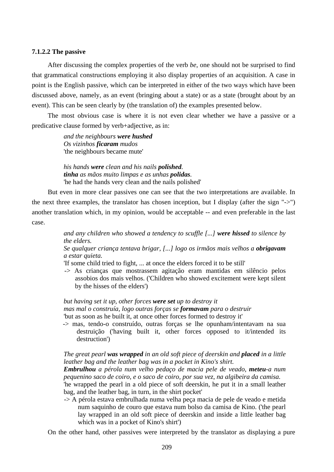## **7.1.2.2 The passive**

After discussing the complex properties of the verb *be*, one should not be surprised to find that grammatical constructions employing it also display properties of an acquisition. A case in point is the English passive, which can be interpreted in either of the two ways which have been discussed above, namely, as an event (bringing about a state) or as a state (brought about by an event). This can be seen clearly by (the translation of) the examples presented below.

The most obvious case is where it is not even clear whether we have a passive or a predicative clause formed by verb+adjective, as in:

> *and the neighbours were hushed Os vizinhos ficaram mudos*  'the neighbours became mute'

*his hands were clean and his nails polished. tinha as mãos muito limpas e as unhas polidas.*  'he had the hands very clean and the nails polished'

But even in more clear passives one can see that the two interpretations are available. In the next three examples, the translator has chosen inception, but I display (after the sign "->") another translation which, in my opinion, would be acceptable -- and even preferable in the last case.

> *and any children who showed a tendency to scuffle [...] were hissed to silence by the elders.*

> *Se qualquer criança tentava brigar, [...] logo os irmãos mais velhos a obrigavam a estar quieta.*

'If some child tried to fight, ... at once the elders forced it to be still'

 -> As crianças que mostrassem agitação eram mantidas em silêncio pelos assobios dos mais velhos. ('Children who showed excitement were kept silent by the hisses of the elders')

*but having set it up, other forces were set up to destroy it mas mal o construía, logo outras forças se formavam para o destruir*  'but as soon as he built it, at once other forces formed to destroy it'

-> mas, tendo-o construído, outras forças se lhe opunham/intentavam na sua destruição ('having built it, other forces opposed to it/intended its destruction')

## *The great pearl was wrapped in an old soft piece of deerskin and placed in a little leather bag and the leather bag was in a pocket in Kino's shirt.*

*Embrulhou a pérola num velho pedaço de macia pele de veado, meteu-a num pequenino saco de coiro, e o saco de coiro, por sua vez, na algibeira da camisa.*  'he wrapped the pearl in a old piece of soft deerskin, he put it in a small leather bag, and the leather bag, in turn, in the shirt pocket'

-> A pérola estava embrulhada numa velha peça macia de pele de veado e metida num saquinho de couro que estava num bolso da camisa de Kino. ('the pearl lay wrapped in an old soft piece of deerskin and inside a little leather bag which was in a pocket of Kino's shirt')

On the other hand, other passives were interpreted by the translator as displaying a pure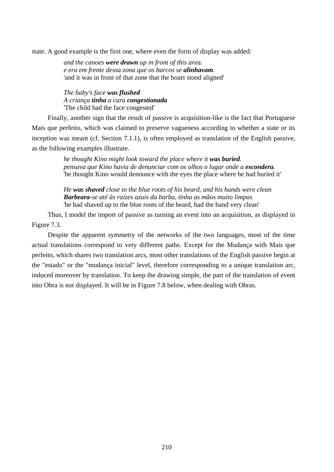state. A good example is the first one, where even the form of display was added:

*and the canoes were drawn up in front of this area. e era em frente dessa zona que os barcos se alinhavam.*  'and it was in front of that zone that the boats stood aligned'

*The baby's face was flushed A criança tinha a cara congestionada* 'The child had the face congested'

Finally, another sign that the result of passive is acquisition-like is the fact that Portuguese Mais que perfeito, which was claimed to preserve vagueness according to whether a state or its inception was meant (cf. Section 7.1.1), is often employed as translation of the English passive, as the following examples illustrate.

> *he thought Kino might look toward the place where it was buried. pensava que Kino havia de denunciar com os olhos o lugar onde a escondera.*  'he thought Kino would denounce with the eyes the place where he had buried it'

*He was shaved close to the blue roots of his beard, and his hands were clean Barbeara-se até às raízes azuis da barba, tinha as mãos muito limpas*  'he had shaved up to the blue roots of the beard, had the hand very clean'

Thus, I model the import of passive as turning an event into an acquisition, as displayed in Figure 7.3.

Despite the apparent symmetry of the networks of the two languages, most of the time actual translations correspond to very different paths. Except for the Mudança with Mais que perfeito, which shares two translation arcs, most other translations of the English passive begin at the "estado" or the "mudança inicial" level, therefore corresponding to a unique translation arc, induced moreover by translation. To keep the drawing simple, the part of the translation of event into Obra is not displayed. It will be in Figure 7.8 below, when dealing with Obras.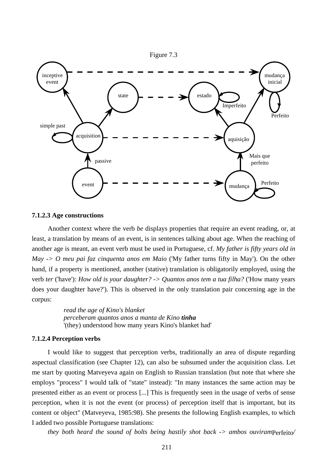

#### **7.1.2.3 Age constructions**

Another context where the verb *be* displays properties that require an event reading, or, at least, a translation by means of an event, is in sentences talking about age. When the reaching of another age is meant, an event verb must be used in Portuguese, cf. *My father is fifty years old in May -> O meu pai faz cinquenta anos em Maio* ('My father turns fifty in May'). On the other hand, if a property is mentioned, another (stative) translation is obligatorily employed, using the verb *ter* ('have'): *How old is your daughter? -> Quantos anos tem a tua filha?* ('How many years does your daughter have?'). This is observed in the only translation pair concerning age in the corpus:

> *read the age of Kino's blanket perceberam quantos anos a manta de Kino tinha* '(they) understood how many years Kino's blanket had'

## **7.1.2.4 Perception verbs**

I would like to suggest that perception verbs, traditionally an area of dispute regarding aspectual classification (see Chapter 12), can also be subsumed under the acquisition class. Let me start by quoting Matveyeva again on English to Russian translation (but note that where she employs "process" I would talk of "state" instead): "In many instances the same action may be presented either as an event or process [...] This is frequently seen in the usage of verbs of sense perception, when it is not the event (or process) of perception itself that is important, but its content or object" (Matveyeva, 1985:98). She presents the following English examples, to which I added two possible Portuguese translations:

*they both heard the sound of bolts being hastily shot back -> ambos ouviram*Perfeito*/*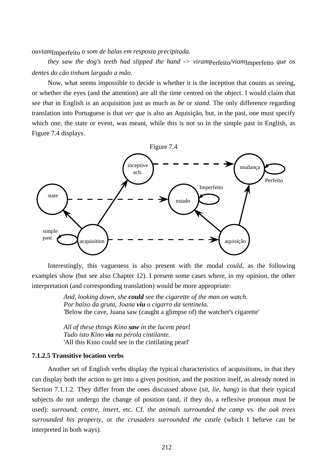*ouviam*Imperfeito *o som de balas em resposta precipitada.* 

*they saw the dog's teeth had slipped the hand -> viram*Perfeito*/viam*Imperfeito *que os dentes do cão tinham largado a mão.* 

Now, what seems impossible to decide is whether it is the inception that counts as seeing, or whether the eyes (and the attention) are all the time centred on the object. I would claim that *see that* in English is an acquisition just as much as *be* or *stand*. The only difference regarding translation into Portuguese is that *ver que* is also an Aquisição, but, in the past, one must specify which one, the state or event, was meant, while this is not so in the simple past in English, as Figure 7.4 displays.



Interestingly, this vagueness is also present with the modal *could*, as the following examples show (but see also Chapter 12). I present some cases where, in my opinion, the other interpretation (and corresponding translation) would be more appropriate:

> *And, looking down, she could see the cigarette of the man on watch. Por baixo da gruta, Joana viu o cigarro da sentinela.*  'Below the cave, Juana saw (caught a glimpse of) the watcher's cigarette'

*All of these things Kino saw in the lucent pearl Tudo isto Kino via na pérola cintilante.*  'All this Kino could see in the cintilating pearl'

### **7.1.2.5 Transitive location verbs**

Another set of English verbs display the typical characteristics of acquisitions, in that they can display both the action to get into a given position, and the position itself, as already noted in Section 7.1.1.2. They differ from the ones discussed above (*sit*, *lie*, *hang*) in that their typical subjects do not undergo the change of position (and, if they do, a reflexive pronoun must be used): *surround*, *centre*, *insert*, etc. Cf. *the animals surrounded the camp* vs. *the oak trees surrounded his property*, or *the crusaders surrounded the castle* (which I believe can be interpreted in both ways).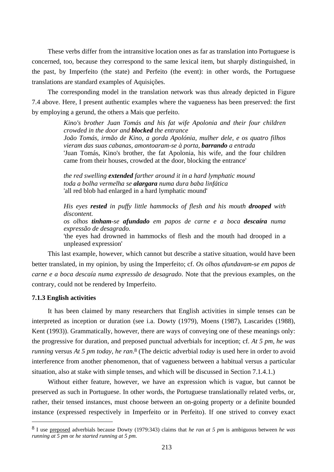These verbs differ from the intransitive location ones as far as translation into Portuguese is concerned, too, because they correspond to the same lexical item, but sharply distinguished, in the past, by Imperfeito (the state) and Perfeito (the event): in other words, the Portuguese translations are standard examples of Aquisições.

The corresponding model in the translation network was thus already depicted in Figure 7.4 above. Here, I present authentic examples where the vagueness has been preserved: the first by employing a gerund, the others a Mais que perfeito.

> *Kino's brother Juan Tomás and his fat wife Apolonia and their four children crowded in the door and blocked the entrance João Tomás, irmão de Kino, a gorda Apolónia, mulher dele, e os quatro filhos vieram das suas cabanas, amontoaram-se à porta, barrando a entrada*  'Juan Tomás, Kino's brother, the fat Apolonia, his wife, and the four children came from their houses, crowded at the door, blocking the entrance'

*the red swelling extended farther around it in a hard lymphatic mound toda a bolha vermelha se alargara numa dura baba linfática*  'all red blob had enlarged in a hard lymphatic mound'

*His eyes rested in puffy little hammocks of flesh and his mouth drooped with discontent.* 

*os olhos tinham-se afundado em papos de carne e a boca descaíra numa expressão de desagrado.* 

'the eyes had drowned in hammocks of flesh and the mouth had drooped in a unpleased expression'

This last example, however, which cannot but describe a stative situation, would have been better translated, in my opinion, by using the Imperfeito; cf. *Os olhos afundavam-se em papos de carne e a boca descaía numa expressão de desagrado*. Note that the previous examples, on the contrary, could not be rendered by Imperfeito.

# **7.1.3 English activities**

 $\overline{a}$ 

It has been claimed by many researchers that English activities in simple tenses can be interpreted as inception or duration (see i.a. Dowty (1979), Moens (1987), Lascarides (1988), Kent (1993)). Grammatically, however, there are ways of conveying one of these meanings only: the progressive for duration, and preposed punctual adverbials for inception; cf. *At 5 pm, he was running* versus *At 5 pm today, he ran*. 8 (The deictic adverbial *today* is used here in order to avoid interference from another phenomenon, that of vagueness between a habitual versus a particular situation, also at stake with simple tenses, and which will be discussed in Section 7.1.4.1.)

Without either feature, however, we have an expression which is vague, but cannot be preserved as such in Portuguese. In other words, the Portuguese translationally related verbs, or, rather, their tensed instances, must choose between an on-going property or a definite bounded instance (expressed respectively in Imperfeito or in Perfeito). If one strived to convey exact

<sup>8</sup> I use preposed adverbials because Dowty (1979:343) claims that *he ran at 5 pm* is ambiguous between *he was running at 5 pm* or *he started running at 5 pm*.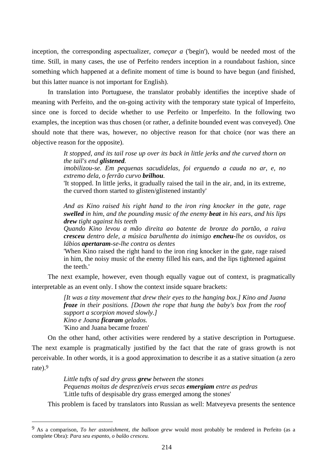inception, the corresponding aspectualizer, *começar a* ('begin'), would be needed most of the time. Still, in many cases, the use of Perfeito renders inception in a roundabout fashion, since something which happened at a definite moment of time is bound to have begun (and finished, but this latter nuance is not important for English).

In translation into Portuguese, the translator probably identifies the inceptive shade of meaning with Perfeito, and the on-going activity with the temporary state typical of Imperfeito, since one is forced to decide whether to use Perfeito or Imperfeito. In the following two examples, the inception was thus chosen (or rather, a definite bounded event was conveyed). One should note that there was, however, no objective reason for that choice (nor was there an objective reason for the opposite).

> *It stopped, and its tail rose up over its back in little jerks and the curved thorn on the tail's end glistened.*

> *imobilizou-se. Em pequenas sacudidelas, foi erguendo a cauda no ar, e, no extremo dela, o ferrão curvo brilhou.*

> 'It stopped. In little jerks, it gradually raised the tail in the air, and, in its extreme, the curved thorn started to glisten/glistened instantly'

> *And as Kino raised his right hand to the iron ring knocker in the gate, rage swelled in him, and the pounding music of the enemy beat in his ears, and his lips drew tight against his teeth*

> *Quando Kino levou a mão direita ao batente de bronze do portão, a raiva cresceu dentro dele, a música barulhenta do inimigo encheu-lhe os ouvidos, os lábios apertaram-se-lhe contra os dentes*

> 'When Kino raised the right hand to the iron ring knocker in the gate, rage raised in him, the noisy music of the enemy filled his ears, and the lips tightened against the teeth.'

The next example, however, even though equally vague out of context, is pragmatically interpretable as an event only. I show the context inside square brackets:

> *[It was a tiny movement that drew their eyes to the hanging box.] Kino and Juana froze in their positions. [Down the rope that hung the baby's box from the roof support a scorpion moved slowly.] Kino e Joana ficaram gelados.*  'Kino and Juana became frozen'

On the other hand, other activities were rendered by a stative description in Portuguese. The next example is pragmatically justified by the fact that the rate of grass growth is not perceivable. In other words, it is a good approximation to describe it as a stative situation (a zero rate).9

> *Little tufts of sad dry grass grew between the stones Pequenas moitas de desprezíveis ervas secas emergiam entre as pedras*  'Little tufts of despisable dry grass emerged among the stones'

This problem is faced by translators into Russian as well: Matveyeva presents the sentence

 $\overline{a}$ 

<sup>9</sup> As a comparison, *To her astonishment, the balloon grew* would most probably be rendered in Perfeito (as a complete Obra): *Para seu espanto, o balão cresceu*.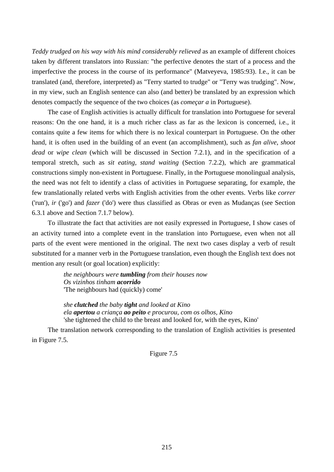*Teddy trudged on his way with his mind considerably relieved* as an example of different choices taken by different translators into Russian: "the perfective denotes the start of a process and the imperfective the process in the course of its performance" (Matveyeva, 1985:93). I.e., it can be translated (and, therefore, interpreted) as "Terry started to trudge" or "Terry was trudging". Now, in my view, such an English sentence can also (and better) be translated by an expression which denotes compactly the sequence of the two choices (as *começar a* in Portuguese).

The case of English activities is actually difficult for translation into Portuguese for several reasons: On the one hand, it is a much richer class as far as the lexicon is concerned, i.e., it contains quite a few items for which there is no lexical counterpart in Portuguese. On the other hand, it is often used in the building of an event (an accomplishment), such as *fan alive*, *shoot dead* or *wipe clean* (which will be discussed in Section 7.2.1), and in the specification of a temporal stretch, such as *sit eating*, *stand waiting* (Section 7.2.2), which are grammatical constructions simply non-existent in Portuguese. Finally, in the Portuguese monolingual analysis, the need was not felt to identify a class of activities in Portuguese separating, for example, the few translationally related verbs with English activities from the other events. Verbs like *correr* ('run'), *ir* ('go') and *fazer* ('do') were thus classified as Obras or even as Mudanças (see Section 6.3.1 above and Section 7.1.7 below).

To illustrate the fact that activities are not easily expressed in Portuguese, I show cases of an activity turned into a complete event in the translation into Portuguese, even when not all parts of the event were mentioned in the original. The next two cases display a verb of result substituted for a manner verb in the Portuguese translation, even though the English text does not mention any result (or goal location) explicitly:

> *the neighbours were tumbling from their houses now Os vizinhos tinham acorrido* 'The neighbours had (quickly) come'

*she clutched the baby tight and looked at Kino ela apertou a criança ao peito e procurou, com os olhos, Kino*  'she tightened the child to the breast and looked for, with the eyes, Kino'

The translation network corresponding to the translation of English activities is presented in Figure 7.5.

Figure 7.5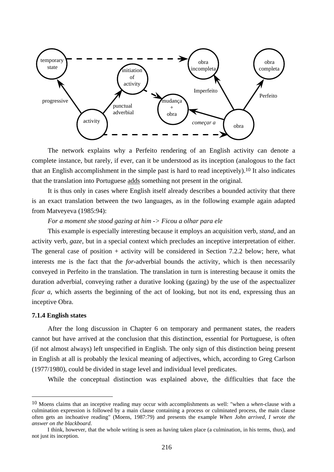

The network explains why a Perfeito rendering of an English activity can denote a complete instance, but rarely, if ever, can it be understood as its inception (analogous to the fact that an English accomplishment in the simple past is hard to read inceptively).10 It also indicates that the translation into Portuguese adds something not present in the original.

It is thus only in cases where English itself already describes a bounded activity that there is an exact translation between the two languages, as in the following example again adapted from Matveyeva (1985:94):

## *For a moment she stood gazing at him -> Ficou a olhar para ele*

This example is especially interesting because it employs an acquisition verb, *stand*, and an activity verb, *gaze*, but in a special context which precludes an inceptive interpretation of either. The general case of position + activity will be considered in Section 7.2.2 below; here, what interests me is the fact that the *for*-adverbial bounds the activity, which is then necessarily conveyed in Perfeito in the translation. The translation in turn is interesting because it omits the duration adverbial, conveying rather a durative looking (gazing) by the use of the aspectualizer *ficar a*, which asserts the beginning of the act of looking, but not its end, expressing thus an inceptive Obra.

## **7.1.4 English states**

 $\overline{a}$ 

After the long discussion in Chapter 6 on temporary and permanent states, the readers cannot but have arrived at the conclusion that this distinction, essential for Portuguese, is often (if not almost always) left unspecified in English. The only sign of this distinction being present in English at all is probably the lexical meaning of adjectives, which, according to Greg Carlson (1977/1980), could be divided in stage level and individual level predicates.

While the conceptual distinction was explained above, the difficulties that face the

<sup>10</sup> Moens claims that an inceptive reading may occur with accomplishments as well: "when a *when*-clause with a culmination expression is followed by a main clause containing a process or culminated process, the main clause often gets an inchoative reading" (Moens, 1987:79) and presents the example *When John arrived, I wrote the answer on the blackboard*.

I think, however, that the whole writing is seen as having taken place (a culmination, in his terms, thus), and not just its inception.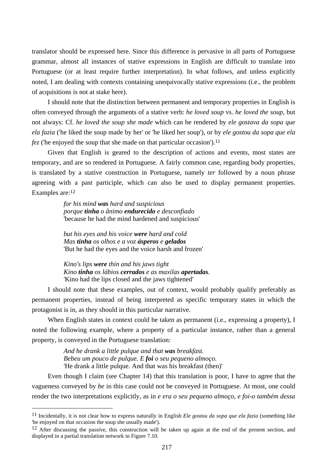translator should be expressed here. Since this difference is pervasive in all parts of Portuguese grammar, almost all instances of stative expressions in English are difficult to translate into Portuguese (or at least require further interpretation). In what follows, and unless explicitly noted, I am dealing with contexts containing unequivocally stative expressions (i.e., the problem of acquisitions is not at stake here).

I should note that the distinction between permanent and temporary properties in English is often conveyed through the arguments of a stative verb: *he loved soup* vs. *he loved the soup*, but not always: Cf. *he loved the soup she made* which can be rendered by *ele gostava da sopa que ela fazia* ('he liked the soup made by her' or 'he liked her soup'), or by *ele gostou da sopa que ela fez* ('he enjoyed the soup that she made on that particular occasion')*.* 11

Given that English is geared to the description of actions and events, most states are temporary, and are so rendered in Portuguese. A fairly common case, regarding body properties, is translated by a stative construction in Portuguese, namely *ter* followed by a noun phrase agreeing with a past participle, which can also be used to display permanent properties. Examples are:<sup>12</sup>

> *for his mind was hard and suspicious porque tinha o ânimo endurecido e desconfiado*  'because he had the mind hardened and suspicious'

*but his eyes and his voice were hard and cold Mas tinha os olhos e a voz ásperos e gelados* 'But he had the eyes and the voice harsh and frozen'

*Kino's lips were thin and his jaws tight Kino tinha os lábios cerrados e as maxilas apertadas.*  'Kino had the lips closed and the jaws tightened'

I should note that these examples, out of context, would probably qualify preferably as permanent properties, instead of being interpreted as specific temporary states in which the protagonist is in, as they should in this particular narrative.

When English states in context could be taken as permanent (i.e., expressing a property), I noted the following example, where a property of a particular instance, rather than a general property, is conveyed in the Portuguese translation:

> *And he drank a little pulque and that was breakfast. Bebeu um pouco de pulque. E foi o seu pequeno almoço.*  'He drank a little pulque. And that was his breakfast (then)'

 $\overline{a}$ 

Even though I claim (see Chapter 14) that this translation is poor, I have to agree that the vagueness conveyed by *be* in this case could not be conveyed in Portuguese. At most, one could render the two interpretations explicitly, as in *e era o seu pequeno almoço, e foi-o também dessa* 

<sup>11</sup> Incidentally, it is not clear how to express naturally in English *Ele gostou da sopa que ela fazia* (something like 'he enjoyed on that occasion the soup she usually made').

<sup>&</sup>lt;sup>12</sup> After discussing the passive, this construction will be taken up again at the end of the present section, and displayed in a partial translation network in Figure 7.10.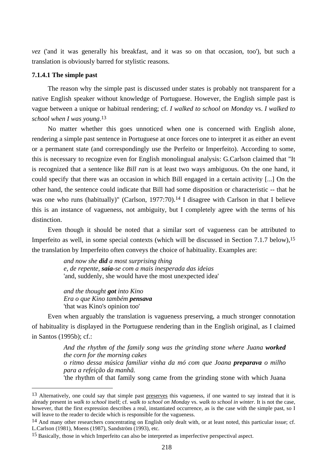*vez* ('and it was generally his breakfast, and it was so on that occasion, too'), but such a translation is obviously barred for stylistic reasons.

#### **7.1.4.1 The simple past**

The reason why the simple past is discussed under states is probably not transparent for a native English speaker without knowledge of Portuguese. However, the English simple past is vague between a unique or habitual rendering; cf. *I walked to school on Monday* vs. *I walked to school when I was young*. 13

No matter whether this goes unnoticed when one is concerned with English alone, rendering a simple past sentence in Portuguese at once forces one to interpret it as either an event or a permanent state (and correspondingly use the Perfeito or Imperfeito). According to some, this is necessary to recognize even for English monolingual analysis: G.Carlson claimed that "It is recognized that a sentence like *Bill ran* is at least two ways ambiguous. On the one hand, it could specify that there was an occasion in which Bill engaged in a certain activity [...] On the other hand, the sentence could indicate that Bill had some disposition or characteristic -- that he was one who runs (habitually)" (Carlson, 1977:70).<sup>14</sup> I disagree with Carlson in that I believe this is an instance of vagueness, not ambiguity, but I completely agree with the terms of his distinction.

Even though it should be noted that a similar sort of vagueness can be attributed to Imperfeito as well, in some special contexts (which will be discussed in Section 7.1.7 below),<sup>15</sup> the translation by Imperfeito often conveys the choice of habituality. Examples are:

> *and now she did a most surprising thing e, de repente, saía-se com a mais inesperada das ideias*  'and, suddenly, she would have the most unexpected idea'

*and the thought got into Kino Era o que Kino também pensava* 'that was Kino's opinion too'

 $\overline{a}$ 

Even when arguably the translation is vagueness preserving, a much stronger connotation of habituality is displayed in the Portuguese rendering than in the English original, as I claimed in Santos (1995b); cf.:

> *And the rhythm of the family song was the grinding stone where Juana worked the corn for the morning cakes o ritmo dessa música familiar vinha da mó com que Joana preparava o milho para a refeição da manhã.* 'the rhythm of that family song came from the grinding stone with which Juana

<sup>&</sup>lt;sup>13</sup> Alternatively, one could say that simple past preserves this vagueness, if one wanted to say instead that it is already present in *walk to school* itself; cf. *walk to school on Monday* vs. *walk to school in winter*. It is not the case, however, that the first expression describes a real, instantiated occurrence, as is the case with the simple past, so I will leave to the reader to decide which is responsible for the vagueness.

<sup>14</sup> And many other researchers concentrating on English only dealt with, or at least noted, this particular issue; cf. L.Carlson (1981), Moens (1987), Sandström (1993), etc.

<sup>15</sup> Basically, those in which Imperfeito can also be interpreted as imperfective perspectival aspect.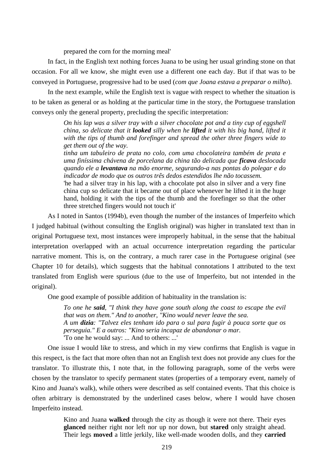prepared the corn for the morning meal'

In fact, in the English text nothing forces Juana to be using her usual grinding stone on that occasion. For all we know, she might even use a different one each day. But if that was to be conveyed in Portuguese, progressive had to be used (*com que Joana estava a preparar o milho*).

In the next example, while the English text is vague with respect to whether the situation is to be taken as general or as holding at the particular time in the story, the Portuguese translation conveys only the general property, precluding the specific interpretation:

> *On his lap was a silver tray with a silver chocolate pot and a tiny cup of eggshell china, so delicate that it looked silly when he lifted it with his big hand, lifted it with the tips of thumb and forefinger and spread the other three fingers wide to get them out of the way.*

> *tinha um tabuleiro de prata no colo, com uma chocolateira também de prata e uma finíssima chávena de porcelana da china tão delicada que ficava deslocada quando ele a levantava na mão enorme, segurando-a nas pontas do polegar e do indicador de modo que os outros três dedos estendidos lhe não tocassem.*

> 'he had a silver tray in his lap, with a chocolate pot also in silver and a very fine china cup so delicate that it became out of place whenever he lifted it in the huge hand, holding it with the tips of the thumb and the forefinger so that the other three stretched fingers would not touch it'

As I noted in Santos (1994b), even though the number of the instances of Imperfeito which I judged habitual (without consulting the English original) was higher in translated text than in original Portuguese text, most instances were improperly habitual, in the sense that the habitual interpretation overlapped with an actual occurrence interpretation regarding the particular narrative moment. This is, on the contrary, a much rarer case in the Portuguese original (see Chapter 10 for details), which suggests that the habitual connotations I attributed to the text translated from English were spurious (due to the use of Imperfeito, but not intended in the original).

One good example of possible addition of habituality in the translation is:

*To one he said, "I think they have gone south along the coast to escape the evil that was on them." And to another, "Kino would never leave the sea. A um dizia: "Talvez eles tenham ido para o sul para fugir à pouca sorte que os perseguia." E a outros: "Kino seria incapaz de abandonar o mar.*  'To one he would say: ... And to others: ...'

One issue I would like to stress, and which in my view confirms that English is vague in this respect, is the fact that more often than not an English text does not provide any clues for the translator. To illustrate this, I note that, in the following paragraph, some of the verbs were chosen by the translator to specify permanent states (properties of a temporary event, namely of Kino and Juana's walk), while others were described as self contained events. That this choice is often arbitrary is demonstrated by the underlined cases below, where I would have chosen Imperfeito instead.

> Kino and Juana **walked** through the city as though it were not there. Their eyes **glanced** neither right nor left nor up nor down, but **stared** only straight ahead. Their legs **moved** a little jerkily, like well-made wooden dolls, and they **carried**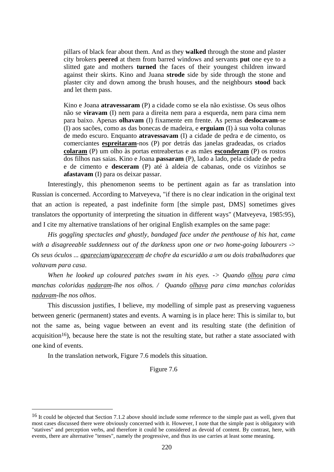pillars of black fear about them. And as they **walked** through the stone and plaster city brokers **peered** at them from barred windows and servants **put** one eye to a slitted gate and mothers **turned** the faces of their youngest children inward against their skirts. Kino and Juana **strode** side by side through the stone and plaster city and down among the brush houses, and the neighbours **stood** back and let them pass.

Kino e Joana **atravessaram** (P) a cidade como se ela não existisse. Os seus olhos não se **viravam** (I) nem para a direita nem para a esquerda, nem para cima nem para baixo. Apenas **olhavam** (I) fixamente em frente. As pernas **deslocavam**-se (I) aos sacões, como as das bonecas de madeira, e **erguiam** (I) à sua volta colunas de medo escuro. Enquanto **atravessavam** (I) a cidade de pedra e de cimento, os comerciantes **espreitaram**-nos (P) por detrás das janelas gradeadas, os criados **colaram** (P) um olho às portas entreabertas e as mães **esconderam** (P) os rostos dos filhos nas saias. Kino e Joana **passaram** (P), lado a lado, pela cidade de pedra e de cimento e **desceram** (P) até à aldeia de cabanas, onde os vizinhos se **afastavam** (I) para os deixar passar.

Interestingly, this phenomenon seems to be pertinent again as far as translation into Russian is concerned. According to Matveyeva, "if there is no clear indication in the original text that an action is repeated, a past indefinite form [the simple past, DMS] sometimes gives translators the opportunity of interpreting the situation in different ways" (Matveyeva, 1985:95), and I cite my alternative translations of her original English examples on the same page:

*His goggling spectacles and ghastly, bandaged face under the penthouse of his hat, came with a disagreeable suddenness out of the darkness upon one or two home-going labourers* -> *Os seus óculos ... apareciam/apareceram de chofre da escuridão a um ou dois trabalhadores que voltavam para casa*.

*When he looked up coloured patches swam in his eyes. -> Quando olhou para cima manchas coloridas nadaram-lhe nos olhos. / Quando olhava para cima manchas coloridas nadavam-lhe nos olhos*.

This discussion justifies, I believe, my modelling of simple past as preserving vagueness between generic (permanent) states and events. A warning is in place here: This is similar to, but not the same as, being vague between an event and its resulting state (the definition of acquisition<sup>16</sup>), because here the state is not the resulting state, but rather a state associated with one kind of events.

In the translation network, Figure 7.6 models this situation.

 $\overline{a}$ 

Figure 7.6

<sup>&</sup>lt;sup>16</sup> It could be objected that Section 7.1.2 above should include some reference to the simple past as well, given that most cases discussed there were obviously concerned with it. However, I note that the simple past is obligatory with "statives" and perception verbs, and therefore it could be considered as devoid of content. By contrast, here, with events, there are alternative "tenses", namely the progressive, and thus its use carries at least some meaning.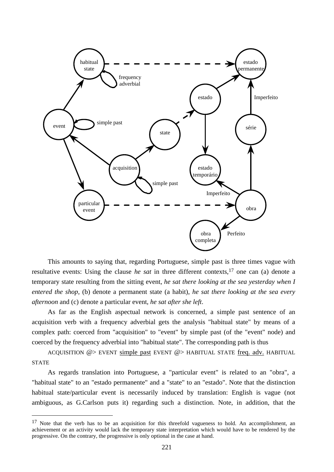

This amounts to saying that, regarding Portuguese, simple past is three times vague with resultative events: Using the clause *he sat* in three different contexts,17 one can (a) denote a temporary state resulting from the sitting event, *he sat there looking at the sea yesterday when I entered the shop*, (b) denote a permanent state (a habit), *he sat there looking at the sea every afternoon* and (c) denote a particular event, *he sat after she left*.

As far as the English aspectual network is concerned, a simple past sentence of an acquisition verb with a frequency adverbial gets the analysis "habitual state" by means of a complex path: coerced from "acquisition" to "event" by simple past (of the "event" node) and coerced by the frequency adverbial into "habitual state". The corresponding path is thus

ACQUISITION @> EVENT simple past EVENT @> HABITUAL STATE freq. adv. HABITUAL **STATE** 

As regards translation into Portuguese, a "particular event" is related to an "obra", a "habitual state" to an "estado permanente" and a "state" to an "estado". Note that the distinction habitual state/particular event is necessarily induced by translation: English is vague (not ambiguous, as G.Carlson puts it) regarding such a distinction. Note, in addition, that the

 $\overline{a}$ 

<sup>&</sup>lt;sup>17</sup> Note that the verb has to be an acquisition for this threefold vagueness to hold. An accomplishment, an achievement or an activity would lack the temporary state interpretation which would have to be rendered by the progressive. On the contrary, the progressive is only optional in the case at hand.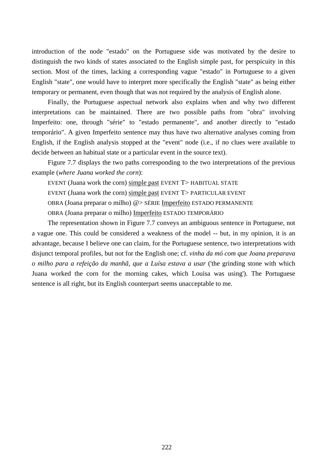introduction of the node "estado" on the Portuguese side was motivated by the desire to distinguish the two kinds of states associated to the English simple past, for perspicuity in this section. Most of the times, lacking a corresponding vague "estado" in Portuguese to a given English "state", one would have to interpret more specifically the English "state" as being either temporary or permanent, even though that was not required by the analysis of English alone.

Finally, the Portuguese aspectual network also explains when and why two different interpretations can be maintained. There are two possible paths from "obra" involving Imperfeito: one, through "série" to "estado permanente", and another directly to "estado temporário". A given Imperfeito sentence may thus have two alternative analyses coming from English, if the English analysis stopped at the "event" node (i.e., if no clues were available to decide between an habitual state or a particular event in the source text).

Figure 7.7 displays the two paths corresponding to the two interpretations of the previous example (*where Juana worked the corn*):

EVENT (Juana work the corn) simple past EVENT T> HABITUAL STATE

EVENT (Juana work the corn) simple past EVENT T> PARTICULAR EVENT

OBRA (Joana preparar o milho) @> SÉRIE Imperfeito ESTADO PERMANENTE

OBRA (Joana preparar o milho) Imperfeito ESTADO TEMPORÁRIO

The representation shown in Figure 7.7 conveys an ambiguous sentence in Portuguese, not a vague one. This could be considered a weakness of the model -- but, in my opinion, it is an advantage, because I believe one can claim, for the Portuguese sentence, two interpretations with disjunct temporal profiles, but not for the English one; cf. *vinha da mó com que Joana preparava o milho para a refeição da manhã, que a Luísa estava a usar* ('the grinding stone with which Juana worked the corn for the morning cakes, which Louisa was using'). The Portuguese sentence is all right, but its English counterpart seems unacceptable to me.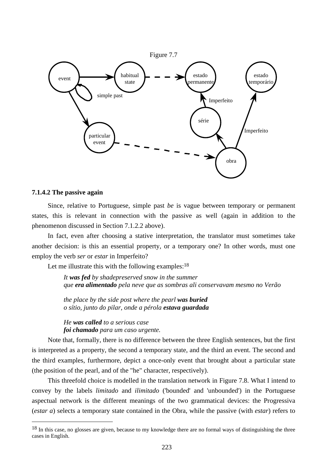

#### **7.1.4.2 The passive again**

 $\overline{a}$ 

Since, relative to Portuguese, simple past *be* is vague between temporary or permanent states, this is relevant in connection with the passive as well (again in addition to the phenomenon discussed in Section 7.1.2.2 above).

In fact, even after choosing a stative interpretation, the translator must sometimes take another decision: is this an essential property, or a temporary one? In other words, must one employ the verb *ser* or *estar* in Imperfeito?

Let me illustrate this with the following examples:<sup>18</sup>

*It was fed by shadepreserved snow in the summer que era alimentado pela neve que as sombras ali conservavam mesmo no Verão* 

*the place by the side post where the pearl was buried o sítio, junto do pilar, onde a pérola estava guardada* 

*He was called to a serious case foi chamado para um caso urgente.* 

Note that, formally, there is no difference between the three English sentences, but the first is interpreted as a property, the second a temporary state, and the third an event. The second and the third examples, furthermore, depict a once-only event that brought about a particular state (the position of the pearl, and of the "he" character, respectively).

This threefold choice is modelled in the translation network in Figure 7.8. What I intend to convey by the labels *limitado* and *ilimitado* ('bounded' and 'unbounded') in the Portuguese aspectual network is the different meanings of the two grammatical devices: the Progressiva (*estar a*) selects a temporary state contained in the Obra, while the passive (with *estar*) refers to

<sup>&</sup>lt;sup>18</sup> In this case, no glosses are given, because to my knowledge there are no formal ways of distinguishing the three cases in English.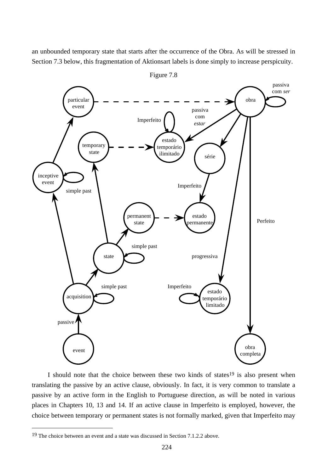an unbounded temporary state that starts after the occurrence of the Obra. As will be stressed in Section 7.3 below, this fragmentation of Aktionsart labels is done simply to increase perspicuity.



Figure 7.8

I should note that the choice between these two kinds of states $19$  is also present when translating the passive by an active clause, obviously. In fact, it is very common to translate a passive by an active form in the English to Portuguese direction, as will be noted in various places in Chapters 10, 13 and 14. If an active clause in Imperfeito is employed, however, the choice between temporary or permanent states is not formally marked, given that Imperfeito may

 $\overline{a}$ 

<sup>19</sup> The choice between an event and a state was discussed in Section 7.1.2.2 above.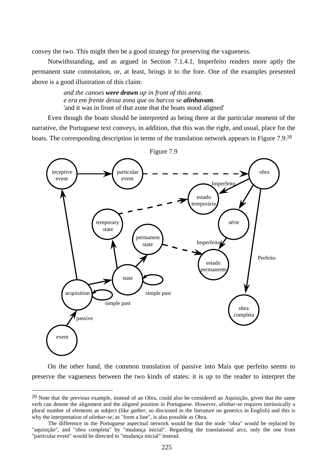convey the two. This might then be a good strategy for preserving the vagueness.

Notwithstanding, and as argued in Section 7.1.4.1, Imperfeito renders more aptly the permanent state connotation, or, at least, brings it to the fore. One of the examples presented above is a good illustration of this claim:

> *and the canoes were drawn up in front of this area. e era em frente dessa zona que os barcos se alinhavam.*  'and it was in front of that zone that the boats stood aligned'

Even though the boats should be interpreted as being there at the particular moment of the narrative, the Portuguese text conveys, in addition, that this was the right, and usual, place for the boats. The corresponding description in terms of the translation network appears in Figure 7.9.20



On the other hand, the common translation of passive into Mais que perfeito seems to preserve the vagueness between the two kinds of states: it is up to the reader to interpret the

 $\overline{a}$ 

<sup>&</sup>lt;sup>20</sup> Note that the previous example, instead of an Obra, could also be considered an Aquisição, given that the same verb can denote the alignment and the aligned position in Portuguese. However, *alinhar-se* requires intrinsically a plural number of elements as subject (like *gather*, so discussed in the literature on generics in English) and this is why the interpretation of *alinhar-se*, as "form a line", is also possible as Obra.

The difference in the Portuguese aspectual network would be that the node "obra" would be replaced by "aquisição", and "obra completa" by "mudança inicial". Regarding the translational arcs, only the one from "particular event" would be directed to "mudança inicial" instead.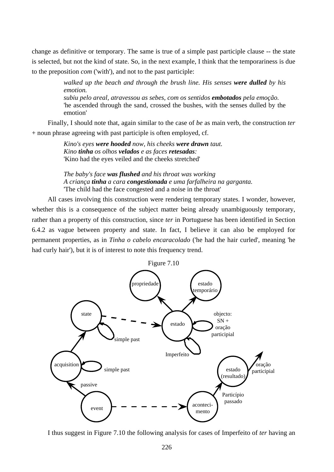change as definitive or temporary. The same is true of a simple past participle clause -- the state is selected, but not the kind of state. So, in the next example, I think that the temporariness is due to the preposition *com* ('with'), and not to the past participle:

> *walked up the beach and through the brush line. His senses were dulled by his emotion. subiu pelo areal, atravessou as sebes, com os sentidos embotados pela emoção.*  'he ascended through the sand, crossed the bushes, with the senses dulled by the emotion'

Finally, I should note that, again similar to the case of *be* as main verb, the construction *ter* + noun phrase agreeing with past participle is often employed, cf.

> *Kino's eyes were hooded now, his cheeks were drawn taut. Kino tinha os olhos velados e as faces retesadas:*  'Kino had the eyes veiled and the cheeks stretched'

*The baby's face was flushed and his throat was working A criança tinha a cara congestionada e uma farfalheira na garganta.*  'The child had the face congested and a noise in the throat'

All cases involving this construction were rendering temporary states. I wonder, however, whether this is a consequence of the subject matter being already unambiguously temporary, rather than a property of this construction, since *ter* in Portuguese has been identified in Section 6.4.2 as vague between property and state. In fact, I believe it can also be employed for permanent properties, as in *Tinha o cabelo encaracolado* ('he had the hair curled', meaning 'he had curly hair'), but it is of interest to note this frequency trend.



I thus suggest in Figure 7.10 the following analysis for cases of Imperfeito of *ter* having an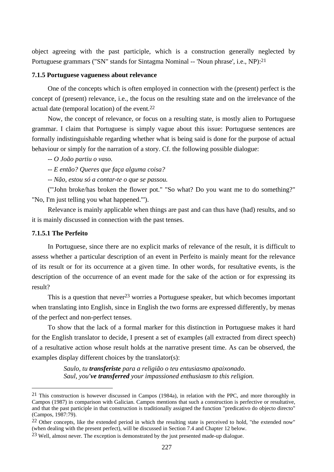object agreeing with the past participle, which is a construction generally neglected by Portuguese grammars ("SN" stands for Sintagma Nominal -- 'Noun phrase', i.e., NP):21

### **7.1.5 Portuguese vagueness about relevance**

One of the concepts which is often employed in connection with the (present) perfect is the concept of (present) relevance, i.e., the focus on the resulting state and on the irrelevance of the actual date (temporal location) of the event.22

Now, the concept of relevance, or focus on a resulting state, is mostly alien to Portuguese grammar. I claim that Portuguese is simply vague about this issue: Portuguese sentences are formally indistinguishable regarding whether what is being said is done for the purpose of actual behaviour or simply for the narration of a story. Cf. the following possible dialogue:

*-- O João partiu o vaso.* 

*-- E então? Queres que faça alguma coisa?* 

*-- Não, estou só a contar-te o que se passou.* 

('"John broke/has broken the flower pot." "So what? Do you want me to do something?" "No, I'm just telling you what happened."').

Relevance is mainly applicable when things are past and can thus have (had) results, and so it is mainly discussed in connection with the past tenses.

#### **7.1.5.1 The Perfeito**

 $\overline{a}$ 

In Portuguese, since there are no explicit marks of relevance of the result, it is difficult to assess whether a particular description of an event in Perfeito is mainly meant for the relevance of its result or for its occurrence at a given time. In other words, for resultative events, is the description of the occurrence of an event made for the sake of the action or for expressing its result?

This is a question that never<sup>23</sup> worries a Portuguese speaker, but which becomes important when translating into English, since in English the two forms are expressed differently, by menas of the perfect and non-perfect tenses.

To show that the lack of a formal marker for this distinction in Portuguese makes it hard for the English translator to decide, I present a set of examples (all extracted from direct speech) of a resultative action whose result holds at the narrative present time. As can be observed, the examples display different choices by the translator(s):

> *Saulo, tu transferiste para a religião o teu entusiasmo apaixonado. Saul, you've transferred your impassioned enthusiasm to this religion.*

<sup>21</sup> This construction is however discussed in Campos (1984a), in relation with the PPC, and more thoroughly in Campos (1987) in comparison with Galician. Campos mentions that such a construction is perfective or resultative, and that the past participle in that construction is traditionally assigned the function "predicativo do objecto directo" (Campos, 1987:79).

 $22$  Other concepts, like the extended period in which the resulting state is perceived to hold, "the extended now" (when dealing with the present perfect), will be discussed in Section 7.4 and Chapter 12 below.

<sup>&</sup>lt;sup>23</sup> Well, almost never. The exception is demonstrated by the just presented made-up dialogue.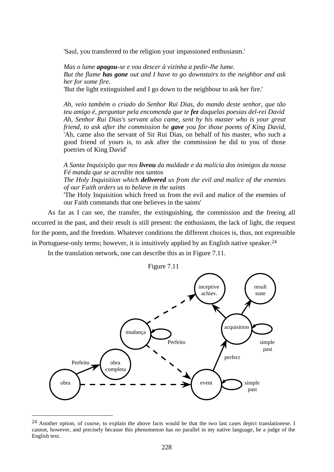'Saul, you transferred to the religion your impassioned enthusiasm.'

*Mas o lume apagou-se e vou descer à vizinha a pedir-lhe lume. But the flame has gone out and I have to go downstairs to the neighbor and ask her for some fire.* 

'But the light extinguished and I go down to the neighbour to ask her fire.'

*Ah, veio também o criado do Senhor Rui Dias, do mando deste senhor, que tão teu amigo é, perguntar pela encomenda que te fez daquelas poesias del-rei David Ah, Senhor Rui Dias's servant also came, sent by his master who is your great friend, to ask after the commission he gave you for those poems of King David,* 'Ah, came also the servant of Sir Rui Dias, on behalf of his master, who such a good friend of yours is, to ask after the commission he did to you of those poetries of King David'

*A Santa Inquisição que nos livrou da maldade e da malícia dos inimigos da nossa Fé manda que se acredite nos santos The Holy Inquisition which delivered us from the evil and malice of the enemies of our Faith orders us to believe in the saints*  'The Holy Inquisition which freed us from the evil and malice of the enemies of our Faith commands that one believes in the saints'

As far as I can see, the transfer, the extinguishing, the commission and the freeing all occurred in the past, and their result is still present: the enthusiasm, the lack of light, the request for the poem, and the freedom. Whatever conditions the different choices is, thus, not expressible in Portuguese-only terms; however, it is intuitively applied by an English native speaker.<sup>24</sup>

In the translation network, one can describe this as in Figure 7.11.



 $24$  Another option, of course, to explain the above facts would be that the two last cases depict translationese. I cannot, however, and precisely because this phenomenon has no parallel in my native language, be a judge of the English text.

 $\overline{a}$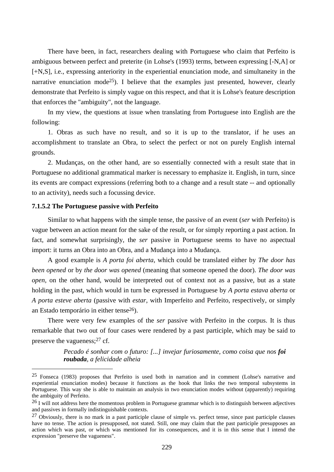There have been, in fact, researchers dealing with Portuguese who claim that Perfeito is ambiguous between perfect and preterite (in Lohse's (1993) terms, between expressing [-N,A] or [+N,S], i.e., expressing anteriority in the experiential enunciation mode, and simultaneity in the narrative enunciation mode<sup>25</sup>). I believe that the examples just presented, however, clearly demonstrate that Perfeito is simply vague on this respect, and that it is Lohse's feature description that enforces the "ambiguity", not the language.

In my view, the questions at issue when translating from Portuguese into English are the following:

1. Obras as such have no result, and so it is up to the translator, if he uses an accomplishment to translate an Obra, to select the perfect or not on purely English internal grounds.

2. Mudanças, on the other hand, are so essentially connected with a result state that in Portuguese no additional grammatical marker is necessary to emphasize it. English, in turn, since its events are compact expressions (referring both to a change and a result state -- and optionally to an activity), needs such a focussing device.

## **7.1.5.2 The Portuguese passive with Perfeito**

 $\overline{a}$ 

Similar to what happens with the simple tense, the passive of an event (*ser* with Perfeito) is vague between an action meant for the sake of the result, or for simply reporting a past action. In fact, and somewhat surprisingly, the *ser* passive in Portuguese seems to have no aspectual import: it turns an Obra into an Obra, and a Mudança into a Mudança.

A good example is *A porta foi aberta*, which could be translated either by *The door has been opened* or by *the door was opened* (meaning that someone opened the door). *The door was open*, on the other hand, would be interpreted out of context not as a passive, but as a state holding in the past, which would in turn be expressed in Portuguese by *A porta estava aberta* or *A porta esteve aberta* (passive with *estar*, with Imperfeito and Perfeito, respectively, or simply an Estado temporário in either tense26).

There were very few examples of the *ser* passive with Perfeito in the corpus. It is thus remarkable that two out of four cases were rendered by a past participle, which may be said to preserve the vagueness;<sup>27</sup> cf.

> *Pecado é sonhar com o futuro: [...] invejar furiosamente, como coisa que nos foi roubada, a felicidade alheia*

<sup>25</sup> Fonseca (1983) proposes that Perfeito is used both in narration and in comment (Lohse's narrative and experiential enunciation modes) because it functions as the hook that links the two temporal subsystems in Portuguese. This way she is able to maintain an analysis in two enunciation modes without (apparently) requiring the ambiguity of Perfeito.

 $26$  I will not address here the momentous problem in Portuguese grammar which is to distinguish between adjectives and passives in formally indistinguishable contexts.

<sup>&</sup>lt;sup>27</sup> Obviously, there is no mark in a past participle clause of simple vs. perfect tense, since past participle clauses have no tense. The action is presupposed, not stated. Still, one may claim that the past participle presupposes an action which was past, or which was mentioned for its consequences, and it is in this sense that I intend the expression "preserve the vagueness".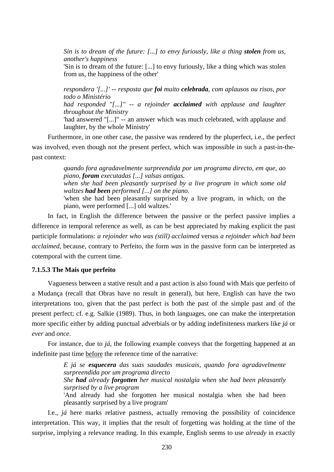*Sin is to dream of the future: [...] to envy furiously, like a thing stolen from us, another's happiness* 

'Sin is to dream of the future: [...] to envy furiously, like a thing which was stolen from us, the happiness of the other'

*respondera '[...]' -- resposta que foi muito celebrada, com aplausos ou risos, por todo o Ministério had responded "[...]" -- a rejoinder acclaimed with applause and laughter throughout the Ministry*  'had answered "[...]" -- an answer which was much celebrated, with applause and laughter, by the whole Ministry'

Furthermore, in one other case, the passive was rendered by the pluperfect, i.e., the perfect was involved, even though not the present perfect, which was impossible in such a past-in-thepast context:

> *quando fora agradavelmente surpreendida por um programa directo, em que, ao piano, foram executadas [...] valsas antigas. when she had been pleasantly surprised by a live program in which some old*

> *waltzes had been performed [...] on the piano.*

'when she had been pleasantly surprised by a live program, in which, on the piano, were performed [...] old waltzes.'

In fact, in English the difference between the passive or the perfect passive implies a difference in temporal reference as well, as can be best appreciated by making explicit the past participle formulations: *a rejoinder who was (still) acclaimed* versus *a rejoinder which had been acclaimed*, because, contrary to Perfeito, the form *was* in the passive form can be interpreted as cotemporal with the current time.

## **7.1.5.3 The Mais que perfeito**

Vagueness between a stative result and a past action is also found with Mais que perfeito of a Mudança (recall that Obras have no result in general), but here, English can have the two interpretations too, given that the past perfect is both the past of the simple past and of the present perfect; cf. e.g. Salkie (1989). Thus, in both languages, one can make the interpretation more specific either by adding punctual adverbials or by adding indefiniteness markers like *já* or *ever* and *once*.

For instance, due to *já*, the following example conveys that the forgetting happened at an indefinite past time before the reference time of the narrative:

> *E já se esquecera das suas saudades musicais, quando fora agradavelmente surpreendida por um programa directo She had already forgotten her musical nostalgia when she had been pleasantly surprised by a live program*  'And already had she forgotten her musical nostalgia when she had been pleasantly surprised by a live program'

I.e., *já* here marks relative pastness, actually removing the possibility of coincidence interpretation. This way, it implies that the result of forgetting was holding at the time of the surprise, implying a relevance reading. In this example, English seems to use *already* in exactly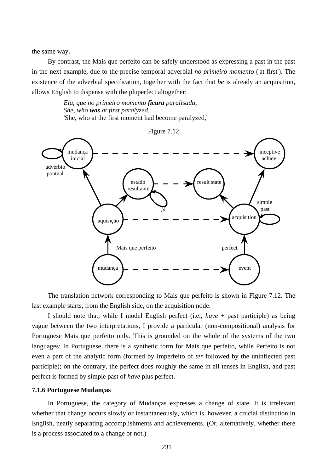the same way.

By contrast, the Mais que perfeito can be safely understood as expressing a past in the past in the next example, due to the precise temporal adverbial *no primeiro momento* ('at first'). The existence of the adverbial specification, together with the fact that *be* is already an acquisition, allows English to dispense with the pluperfect altogether:

> *Ela, que no primeiro momento ficara paralisada, She, who was at first paralyzed,*  'She, who at the first moment had become paralyzed,'



The translation network corresponding to Mais que perfeito is shown in Figure 7.12. The last example starts, from the English side, on the acquisition node.

I should note that, while I model English perfect (i.e., *have* + past participle) as being vague between the two interpretations, I provide a particular (non-compositional) analysis for Portuguese Mais que perfeito only. This is grounded on the whole of the systems of the two languages: In Portuguese, there is a synthetic form for Mais que perfeito, while Perfeito is not even a part of the analytic form (formed by Imperfeito of *ter* followed by the uninflected past participle); on the contrary, the perfect does roughly the same in all tenses in English, and past perfect is formed by simple past of *have* plus perfect.

### **7.1.6 Portuguese Mudanças**

In Portuguese, the category of Mudanças expresses a change of state. It is irrelevant whether that change occurs slowly or instantaneously, which is, however, a crucial distinction in English, neatly separating accomplishments and achievements. (Or, alternatively, whether there is a process associated to a change or not.)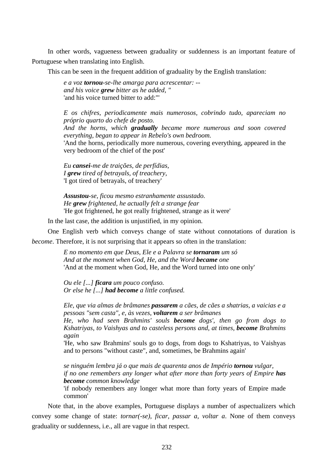In other words, vagueness between graduality or suddenness is an important feature of Portuguese when translating into English.

This can be seen in the frequent addition of graduality by the English translation:

*e a voz tornou-se-lhe amarga para acrescentar: - and his voice grew bitter as he added, "*  'and his voice turned bitter to add:"'

*E os chifres, periodicamente mais numerosos, cobrindo tudo, apareciam no próprio quarto do chefe de posto. And the horns, which gradually became more numerous and soon covered everything, began to appear in Rebelo's own bedroom.*  'And the horns, periodically more numerous, covering everything, appeared in the very bedroom of the chief of the post'

*Eu cansei-me de traições, de perfídias, I grew tired of betrayals, of treachery,*  'I got tired of betrayals, of treachery'

*Assustou-se, ficou mesmo estranhamente assustado. He grew frightened, he actually felt a strange fear*  'He got frightened, he got really frightened, strange as it were'

In the last case, the addition is unjustified, in my opinion.

One English verb which conveys change of state without connotations of duration is *become*. Therefore, it is not surprising that it appears so often in the translation:

> *E no momento em que Deus, Ele e a Palavra se tornaram um só And at the moment when God, He, and the Word became one*  'And at the moment when God, He, and the Word turned into one only'

*Ou ele [...] ficara um pouco confuso. Or else he [...] had become a little confused.* 

*Ele, que via almas de brâmanes passarem a cães, de cães a shatrias, a vaicias e a pessoas "sem casta", e, às vezes, voltarem a ser brâmanes* 

*He, who had seen Brahmins' souls become dogs', then go from dogs to Kshatriyas, to Vaishyas and to casteless persons and, at times, become Brahmins again* 

'He, who saw Brahmins' souls go to dogs, from dogs to Kshatriyas, to Vaishyas and to persons "without caste", and, sometimes, be Brahmins again'

*se ninguém lembra já o que mais de quarenta anos de Império tornou vulgar, if no one remembers any longer what after more than forty years of Empire has become common knowledge* 

'if nobody remembers any longer what more than forty years of Empire made common'

Note that, in the above examples, Portuguese displays a number of aspectualizers which convey some change of state: *tornar(-se)*, *ficar*, *passar a*, *voltar a*. None of them conveys graduality or suddenness, i.e., all are vague in that respect.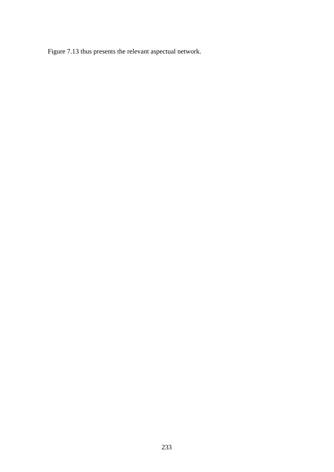Figure 7.13 thus presents the relevant aspectual network.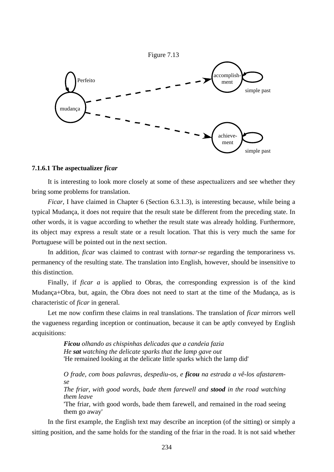

#### **7.1.6.1 The aspectualizer** *ficar*

It is interesting to look more closely at some of these aspectualizers and see whether they bring some problems for translation.

*Ficar*, I have claimed in Chapter 6 (Section 6.3.1.3), is interesting because, while being a typical Mudança, it does not require that the result state be different from the preceding state. In other words, it is vague according to whether the result state was already holding. Furthermore, its object may express a result state or a result location. That this is very much the same for Portuguese will be pointed out in the next section.

In addition, *ficar* was claimed to contrast with *tornar-se* regarding the temporariness vs. permanency of the resulting state. The translation into English, however, should be insensitive to this distinction.

Finally, if *ficar a* is applied to Obras, the corresponding expression is of the kind Mudança+Obra, but, again, the Obra does not need to start at the time of the Mudança, as is characteristic of *ficar* in general.

Let me now confirm these claims in real translations. The translation of *ficar* mirrors well the vagueness regarding inception or continuation, because it can be aptly conveyed by English acquisitions:

> *Ficou olhando as chispinhas delicadas que a candeia fazia He sat watching the delicate sparks that the lamp gave out*  'He remained looking at the delicate little sparks which the lamp did'

*O frade, com boas palavras, despediu-os, e ficou na estrada a vê-los afastaremse* 

*The friar, with good words, bade them farewell and stood in the road watching them leave* 

'The friar, with good words, bade them farewell, and remained in the road seeing them go away'

In the first example, the English text may describe an inception (of the sitting) or simply a sitting position, and the same holds for the standing of the friar in the road. It is not said whether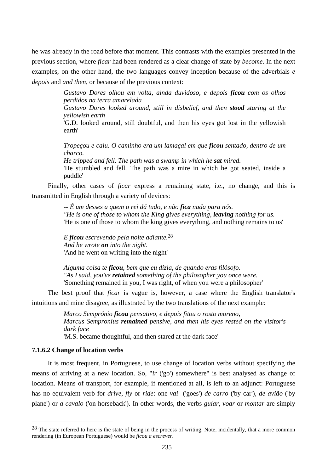he was already in the road before that moment. This contrasts with the examples presented in the previous section, where *ficar* had been rendered as a clear change of state by *become*. In the next examples, on the other hand, the two languages convey inception because of the adverbials *e depois* and *and then*, or because of the previous context:

> *Gustavo Dores olhou em volta, ainda duvidoso, e depois ficou com os olhos perdidos na terra amarelada Gustavo Dores looked around, still in disbelief, and then stood staring at the*

> *yellowish earth*  'G.D. looked around, still doubtful, and then his eyes got lost in the yellowish earth'

> *Tropeçou e caiu. O caminho era um lamaçal em que ficou sentado, dentro de um charco.*

> *He tripped and fell. The path was a swamp in which he sat mired.*  'He stumbled and fell. The path was a mire in which he got seated, inside a puddle'

Finally, other cases of *ficar* express a remaining state, i.e., no change, and this is transmitted in English through a variety of devices:

> *-- É um desses a quem o rei dá tudo, e não fica nada para nós. "He is one of those to whom the King gives everything, <i>leaving* nothing for us. 'He is one of those to whom the king gives everything, and nothing remains to us'

*E ficou escrevendo pela noite adiante.*28 *And he wrote on into the night.*  'And he went on writing into the night'

*Alguma coisa te ficou, bem que eu dizia, de quando eras filósofo. "As I said, you've retained something of the philosopher you once were.*  'Something remained in you, I was right, of when you were a philosopher'

The best proof that *ficar* is vague is, however, a case where the English translator's intuitions and mine disagree, as illustrated by the two translations of the next example:

> *Marco Semprónio ficou pensativo, e depois fitou o rosto moreno, Marcus Sempronius remained pensive, and then his eyes rested on the visitor's dark face*  'M.S. became thoughtful, and then stared at the dark face'

## **7.1.6.2 Change of location verbs**

 $\overline{a}$ 

It is most frequent, in Portuguese, to use change of location verbs without specifying the means of arriving at a new location. So, "*ir* ('go') somewhere" is best analysed as change of location. Means of transport, for example, if mentioned at all, is left to an adjunct: Portuguese has no equivalent verb for *drive*, *fly* or *ride*: one *vai* ('goes') *de carro* ('by car'), *de avião* ('by plane') or *a cavalo* ('on horseback'). In other words, the verbs *guiar*, *voar* or *montar* are simply

<sup>&</sup>lt;sup>28</sup> The state referred to here is the state of being in the process of writing. Note, incidentally, that a more common rendering (in European Portuguese) would be *ficou a escrever*.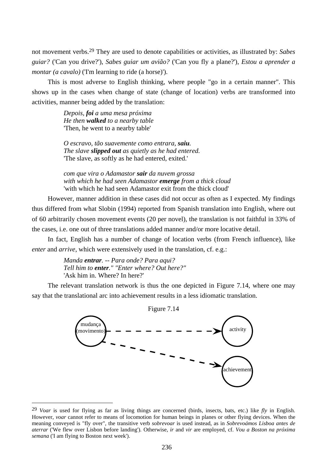not movement verbs.29 They are used to denote capabilities or activities, as illustrated by: *Sabes guiar?* ('Can you drive?'), *Sabes guiar um avião?* ('Can you fly a plane?'), *Estou a aprender a montar (a cavalo)* (Tm learning to ride (a horse)').

This is most adverse to English thinking, where people "go in a certain manner". This shows up in the cases when change of state (change of location) verbs are transformed into activities, manner being added by the translation:

> *Depois, foi a uma mesa próxima He then walked to a nearby table*  'Then, he went to a nearby table'

*O escravo, tão suavemente como entrara, saiu. The slave slipped out as quietly as he had entered.*  'The slave, as softly as he had entered, exited.'

*com que vira o Adamastor sair da nuvem grossa with which he had seen Adamastor emerge from a thick cloud*  'with which he had seen Adamastor exit from the thick cloud'

However, manner addition in these cases did not occur as often as I expected. My findings thus differed from what Slobin (1994) reported from Spanish translation into English, where out of 60 arbitrarily chosen movement events (20 per novel), the translation is not faithful in 33% of the cases, i.e. one out of three translations added manner and/or more locative detail.

In fact, English has a number of change of location verbs (from French influence), like *enter* and *arrive*, which were extensively used in the translation, cf. e.g.:

> *Manda entrar. -- Para onde? Para aqui? Tell him to enter." "Enter where? Out here?"*  'Ask him in. Where? In here?'

 $\overline{a}$ 

The relevant translation network is thus the one depicted in Figure 7.14, where one may say that the translational arc into achievement results in a less idiomatic translation.



<sup>29</sup> *Voar* is used for flying as far as living things are concerned (birds, insects, bats, etc.) like *fly* in English. However, *voar* cannot refer to means of locomotion for human beings in planes or other flying devices. When the meaning conveyed is "fly over", the transitive verb *sobrevoar* is used instead, as in *Sobrevoámos Lisboa antes de aterrar* ('We flew over Lisbon before landing'). Otherwise, *ir* and *vir* are employed, cf. *Vou a Boston na próxima semana* ('I am flying to Boston next week').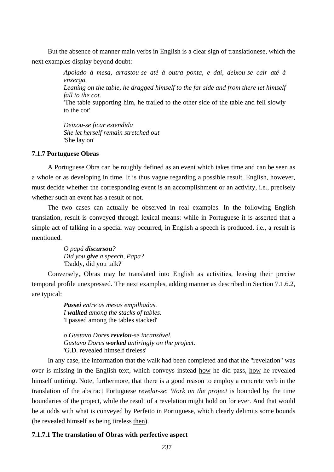But the absence of manner main verbs in English is a clear sign of translationese, which the next examples display beyond doubt:

> *Apoiado à mesa, arrastou-se até à outra ponta, e daí, deixou-se cair até à enxerga. Leaning on the table, he dragged himself to the far side and from there let himself fall to the cot.*

> 'The table supporting him, he trailed to the other side of the table and fell slowly to the cot'

*Deixou-se ficar estendida She let herself remain stretched out*  'She lay on'

## **7.1.7 Portuguese Obras**

A Portuguese Obra can be roughly defined as an event which takes time and can be seen as a whole or as developing in time. It is thus vague regarding a possible result. English, however, must decide whether the corresponding event is an accomplishment or an activity, i.e., precisely whether such an event has a result or not.

The two cases can actually be observed in real examples. In the following English translation, result is conveyed through lexical means: while in Portuguese it is asserted that a simple act of talking in a special way occurred, in English a speech is produced, i.e., a result is mentioned.

> *O papá discursou? Did you give a speech, Papa?*  'Daddy, did you talk?'

Conversely, Obras may be translated into English as activities, leaving their precise temporal profile unexpressed. The next examples, adding manner as described in Section 7.1.6.2, are typical:

> *Passei entre as mesas empilhadas. I walked among the stacks of tables.*  'I passed among the tables stacked'

*o Gustavo Dores revelou-se incansável. Gustavo Dores worked untiringly on the project.*  'G.D. revealed himself tireless'

In any case, the information that the walk had been completed and that the "revelation" was over is missing in the English text, which conveys instead how he did pass, how he revealed himself untiring. Note, furthermore, that there is a good reason to employ a concrete verb in the translation of the abstract Portuguese *revelar-se*: *Work on the project* is bounded by the time boundaries of the project, while the result of a revelation might hold on for ever. And that would be at odds with what is conveyed by Perfeito in Portuguese, which clearly delimits some bounds (he revealed himself as being tireless then).

## **7.1.7.1 The translation of Obras with perfective aspect**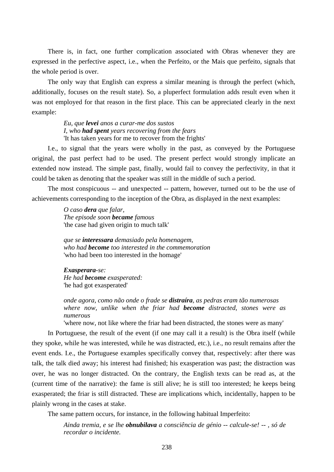There is, in fact, one further complication associated with Obras whenever they are expressed in the perfective aspect, i.e., when the Perfeito, or the Mais que perfeito, signals that the whole period is over.

The only way that English can express a similar meaning is through the perfect (which, additionally, focuses on the result state). So, a pluperfect formulation adds result even when it was not employed for that reason in the first place. This can be appreciated clearly in the next example:

> *Eu, que levei anos a curar-me dos sustos I, who had spent years recovering from the fears*  'It has taken years for me to recover from the frights'

I.e., to signal that the years were wholly in the past, as conveyed by the Portuguese original, the past perfect had to be used. The present perfect would strongly implicate an extended now instead. The simple past, finally, would fail to convey the perfectivity, in that it could be taken as denoting that the speaker was still in the middle of such a period.

The most conspicuous -- and unexpected -- pattern, however, turned out to be the use of achievements corresponding to the inception of the Obra, as displayed in the next examples:

> *O caso dera que falar, The episode soon became famous*  'the case had given origin to much talk'

*que se interessara demasiado pela homenagem, who had become too interested in the commemoration*  'who had been too interested in the homage'

*Exasperara-se: He had become exasperated:*  'he had got exasperated'

*onde agora, como não onde o frade se distraíra, as pedras eram tão numerosas where now, unlike when the friar had become distracted, stones were as numerous* 

'where now, not like where the friar had been distracted, the stones were as many'

In Portuguese, the result of the event (if one may call it a result) is the Obra itself (while they spoke, while he was interested, while he was distracted, etc.), i.e., no result remains after the event ends. I.e., the Portuguese examples specifically convey that, respectively: after there was talk, the talk died away; his interest had finished; his exasperation was past; the distraction was over, he was no longer distracted. On the contrary, the English texts can be read as, at the (current time of the narrative): the fame is still alive; he is still too interested; he keeps being exasperated; the friar is still distracted. These are implications which, incidentally, happen to be plainly wrong in the cases at stake.

The same pattern occurs, for instance, in the following habitual Imperfeito:

*Ainda tremia, e se lhe obnubilava a consciência de génio -- calcule-se! -- , só de recordar o incidente.*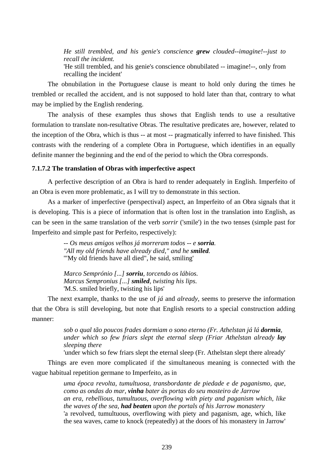*He still trembled, and his genie's conscience grew clouded--imagine!--just to recall the incident.*  'He still trembled, and his genie's conscience obnubilated -- imagine!--, only from recalling the incident'

The obnubilation in the Portuguese clause is meant to hold only during the times he trembled or recalled the accident, and is not supposed to hold later than that, contrary to what may be implied by the English rendering.

The analysis of these examples thus shows that English tends to use a resultative formulation to translate non-resultative Obras. The resultative predicates are, however, related to the inception of the Obra, which is thus -- at most -- pragmatically inferred to have finished. This contrasts with the rendering of a complete Obra in Portuguese, which identifies in an equally definite manner the beginning and the end of the period to which the Obra corresponds.

## **7.1.7.2 The translation of Obras with imperfective aspect**

A perfective description of an Obra is hard to render adequately in English. Imperfeito of an Obra is even more problematic, as I will try to demonstrate in this section.

As a marker of imperfective (perspectival) aspect, an Imperfeito of an Obra signals that it is developing. This is a piece of information that is often lost in the translation into English, as can be seen in the same translation of the verb *sorrir* ('smile') in the two tenses (simple past for Imperfeito and simple past for Perfeito, respectively):

> *-- Os meus amigos velhos já morreram todos -- e sorria. "All my old friends have already died," and he smiled.*  '"My old friends have all died", he said, smiling'

*Marco Semprónio [...] sorriu, torcendo os lábios. Marcus Sempronius [...] smiled, twisting his lips.*  'M.S. smiled briefly, twisting his lips'

The next example, thanks to the use of *já* and *already*, seems to preserve the information that the Obra is still developing, but note that English resorts to a special construction adding manner:

> *sob o qual tão poucos frades dormiam o sono eterno (Fr. Athelstan já lá dormia, under which so few friars slept the eternal sleep (Friar Athelstan already lay sleeping there*

> 'under which so few friars slept the eternal sleep (Fr. Athelstan slept there already'

Things are even more complicated if the simultaneous meaning is connected with the vague habitual repetition germane to Imperfeito, as in

> *uma época revolta, tumultuosa, transbordante de piedade e de paganismo, que, como as ondas do mar, vinha bater às portas do seu mosteiro de Jarrow an era, rebellious, tumultuous, overflowing with piety and paganism which, like the waves of the sea, had beaten upon the portals of his Jarrow monastery*  'a revolved, tumultuous, overflowing with piety and paganism, age, which, like the sea waves, came to knock (repeatedly) at the doors of his monastery in Jarrow'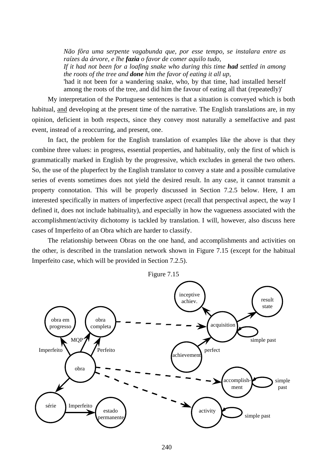*Não fôra uma serpente vagabunda que, por esse tempo, se instalara entre as raízes da árvore, e lhe fazia o favor de comer aquilo tudo,* 

*If it had not been for a loafing snake who during this time had settled in among the roots of the tree and done him the favor of eating it all up,* 

'had it not been for a wandering snake, who, by that time, had installed herself among the roots of the tree, and did him the favour of eating all that (repeatedly)'

My interpretation of the Portuguese sentences is that a situation is conveyed which is both habitual, and developing at the present time of the narrative. The English translations are, in my opinion, deficient in both respects, since they convey most naturally a semelfactive and past event, instead of a reoccurring, and present, one.

In fact, the problem for the English translation of examples like the above is that they combine three values: in progress, essential properties, and habituality, only the first of which is grammatically marked in English by the progressive, which excludes in general the two others. So, the use of the pluperfect by the English translator to convey a state and a possible cumulative series of events sometimes does not yield the desired result. In any case, it cannot transmit a property connotation. This will be properly discussed in Section 7.2.5 below. Here, I am interested specifically in matters of imperfective aspect (recall that perspectival aspect, the way I defined it, does not include habituality), and especially in how the vagueness associated with the accomplishment/activity dichotomy is tackled by translation. I will, however, also discuss here cases of Imperfeito of an Obra which are harder to classify.

The relationship between Obras on the one hand, and accomplishments and activities on the other, is described in the translation network shown in Figure 7.15 (except for the habitual Imperfeito case, which will be provided in Section 7.2.5).

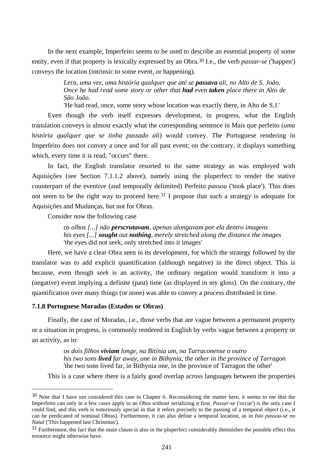In the next example, Imperfeito seems to be used to describe an essential property of some entity, even if that property is lexically expressed by an Obra.30 I.e., the verb *passar-se* ('happen') conveys the location (intrinsic to some event, or happening).

> *Lera, uma vez, uma história qualquer que até se passava ali, no Alto de S. João. Once he had read some story or other that had even taken place there in Alto de São João.*

'He had read, once, some story whose location was exactly there, in Alto de S.J.'

Even though the verb itself expresses development, in progress, what the English translation conveys is almost exactly what the corresponding sentence in Mais que perfeito (*uma história qualquer que se tinha passado ali*) would convey. The Portuguese rendering in Imperfeito does not convey a once and for all past event; on the contrary, it displays something which, every time it is read, "occurs" there.

In fact, the English translator resorted to the same strategy as was employed with Aquisições (see Section 7.1.1.2 above), namely using the pluperfect to render the stative counterpart of the eventive (and temporally delimited) Perfeito *passou* ('took place'). This does not seem to be the right way to proceed here.<sup>31</sup> I propose that such a strategy is adequate for Aquisições and Mudanças, but not for Obras.

Consider now the following case

*os olhos [...] não perscrutavam, apenas alongavam por ela dentro imagens his eyes [...] sought out nothing, merely stretched along the distance the images*  'the eyes did not seek, only stretched into it images'

Here, we have a clear Obra seen in its development, for which the strategy followed by the translator was to add explicit quantification (although negative) in the direct object. This is because, even though *seek* is an activity, the ordinary negation would transform it into a (negative) event implying a definite (past) time (as displayed in my gloss). On the contrary, the quantification over many things (or none) was able to convey a process distributed in time.

#### **7.1.8 Portuguese Moradas (Estados or Obras)**

 $\overline{a}$ 

Finally, the case of Moradas, i.e., those verbs that are vague between a permanent property or a situation in progress, is commonly rendered in English by verbs vague between a property or an activity, as in:

> *os dois filhos viviam longe, na Bitínia um, na Tarraconense o outro his two sons lived far away, one in Bithynia, the other in the province of Tarragon*  'the two sons lived far, in Bithynia one, in the province of Tarragon the other'

This is a case where there is a fairly good overlap across languages between the properties

<sup>&</sup>lt;sup>30</sup> Note that I have not considered this case in Chapter 6. Reconsidering the matter here, it seems to me that the Imperfeito can only in a few cases apply to an Obra without serializing it first. *Passar-se* ('occur') is the only case I could find, and this verb is notoriously special in that it refers precisely to the passing of a temporal object (i.e., it can be predicated of nominal Obras). Furthermore, it can also define a temporal location, as in *Isto passou-se no Natal* ('This happened last Christmas').

<sup>&</sup>lt;sup>31</sup> Furthermore, the fact that the main clause is also in the pluperfect considerably diminishes the possible effect this resource might otherwise have.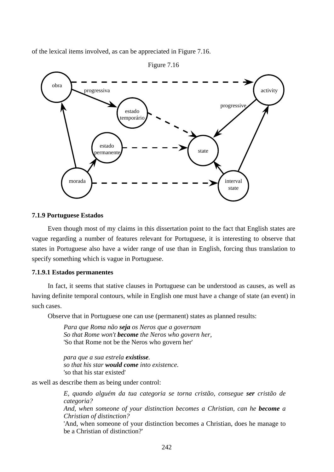of the lexical items involved, as can be appreciated in Figure 7.16.



#### **7.1.9 Portuguese Estados**

Even though most of my claims in this dissertation point to the fact that English states are vague regarding a number of features relevant for Portuguese, it is interesting to observe that states in Portuguese also have a wider range of use than in English, forcing thus translation to specify something which is vague in Portuguese.

## **7.1.9.1 Estados permanentes**

In fact, it seems that stative clauses in Portuguese can be understood as causes, as well as having definite temporal contours, while in English one must have a change of state (an event) in such cases.

Observe that in Portuguese one can use (permanent) states as planned results:

*Para que Roma não seja os Neros que a governam So that Rome won't become the Neros who govern her,*  'So that Rome not be the Neros who govern her'

*para que a sua estrela existisse. so that his star would come into existence.*  'so that his star existed'

as well as describe them as being under control:

*E, quando alguém da tua categoria se torna cristão, consegue ser cristão de categoria?* 

And, when someone of your distinction becomes a Christian, can he **become** a *Christian of distinction?* 

'And, when someone of your distinction becomes a Christian, does he manage to be a Christian of distinction?'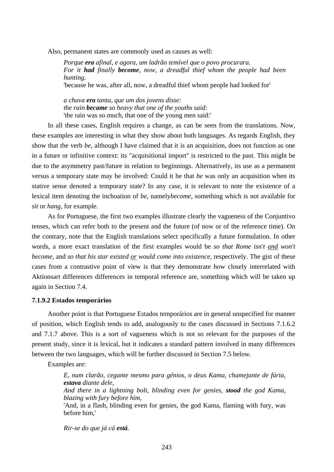Also, permanent states are commonly used as causes as well:

*Porque era afinal, e agora, um ladrão temível que o povo procurara. For it had finally become, now, a dreadful thief whom the people had been hunting.*  'because he was, after all, now, a dreadful thief whom people had looked for'

*a chuva era tanta, que um dos jovens disse: the rain became so heavy that one of the youths said:*  'the rain was so much, that one of the young men said:'

In all these cases, English requires a change, as can be seen from the translations. Now, these examples are interesting in what they show about both languages. As regards English, they show that the verb *be*, although I have claimed that it is an acquisition, does not function as one in a future or infinitive context: its "acquisitional import" is restricted to the past. This might be due to the asymmetry past/future in relation to beginnings. Alternatively, its use as a permanent versus a temporary state may be involved: Could it be that *be* was only an acquisition when its stative sense denoted a temporary state? In any case, it is relevant to note the existence of a lexical item denoting the inchoation of *be*, namely*become*, something which is not available for *sit* or *hang*, for example.

As for Portuguese, the first two examples illustrate clearly the vagueness of the Conjuntivo tenses, which can refer both to the present and the future (of now or of the reference time). On the contrary, note that the English translations select specifically a future formulation. In other words, a more exact translation of the first examples would be *so that Rome isn't and won't become*, and *so that his star existed or would come into existence*, respectively. The gist of these cases from a contrastive point of view is that they demonstrate how closely interrelated with Aktionsart differences differences in temporal reference are, something which will be taken up again in Section 7.4.

#### **7.1.9.2 Estados temporários**

Another point is that Portuguese Estados temporários are in general unspecified for manner of position, which English tends to add, analogously to the cases discussed in Sections 7.1.6.2 and 7.1.7 above. This is a sort of vagueness which is not so relevant for the purposes of the present study, since it is lexical, but it indicates a standard pattern involved in many differences between the two languages, which will be further discussed in Section 7.5 below.

Examples are:

*E, num clarão, cegante mesmo para génios, o deus Kama, chamejante de fúria, estava diante dele, And there in a lightning bolt, blinding even for genies, stood the god Kama, blazing with fury before him,* 

'And, in a flash, blinding even for genies, the god Kama, flaming with fury, was before him,'

*Rir-se do que já cá está.*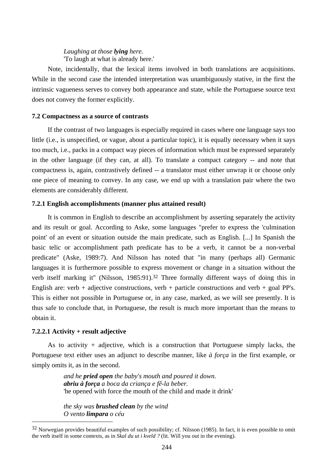# *Laughing at those lying here.*  'To laugh at what is already here.'

Note, incidentally, that the lexical items involved in both translations are acquisitions. While in the second case the intended interpretation was unambiguously stative, in the first the intrinsic vagueness serves to convey both appearance and state, while the Portuguese source text does not convey the former explicitly.

## **7.2 Compactness as a source of contrasts**

If the contrast of two languages is especially required in cases where one language says too little (i.e., is unspecified, or vague, about a particular topic), it is equally necessary when it says too much, i.e., packs in a compact way pieces of information which must be expressed separately in the other language (if they can, at all). To translate a compact category -- and note that compactness is, again, contrastively defined -- a translator must either unwrap it or choose only one piece of meaning to convey. In any case, we end up with a translation pair where the two elements are considerably different.

## **7.2.1 English accomplishments (manner plus attained result)**

It is common in English to describe an accomplishment by asserting separately the activity and its result or goal. According to Aske, some languages "prefer to express the 'culmination point' of an event or situation outside the main predicate, such as English. [...] In Spanish the basic telic or accomplishment path predicate has to be a verb, it cannot be a non-verbal predicate" (Aske, 1989:7). And Nilsson has noted that "in many (perhaps all) Germanic languages it is furthermore possible to express movement or change in a situation without the verb itself marking it" (Nilsson, 1985:91).<sup>32</sup> Three formally different ways of doing this in English are: verb + adjective constructions, verb + particle constructions and verb + goal PP's. This is either not possible in Portuguese or, in any case, marked, as we will see presently. It is thus safe to conclude that, in Portuguese, the result is much more important than the means to obtain it.

## **7.2.2.1 Activity + result adjective**

 $\overline{a}$ 

As to activity + adjective, which is a construction that Portuguese simply lacks, the Portuguese text either uses an adjunct to describe manner, like *à força* in the first example, or simply omits it, as in the second.

> *and he pried open the baby's mouth and poured it down. abriu à força a boca da criança e fê-la beber.*  'he opened with force the mouth of the child and made it drink'

*the sky was brushed clean by the wind O vento limpara o céu* 

 $32$  Norwegian provides beautiful examples of such possibility; cf. Nilsson (1985). In fact, it is even possible to omit the verb itself in some contexts, as in *Skal du ut i kveld ?* (lit. Will you out in the evening).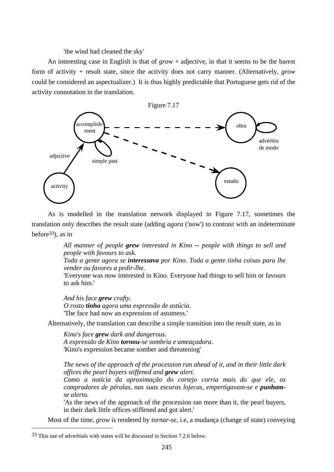'the wind had cleaned the sky'

An interesting case in English is that of *grow* + adjective, in that it seems to be the barest form of activity + result state, since the activity does not carry manner. (Alternatively, *grow* could be considered an aspectualizer.) It is thus highly predictable that Portuguese gets rid of the activity connotation in the translation.



As is modelled in the translation network displayed in Figure 7.17, sometimes the translation only describes the result state (adding *agora* ('now') to contrast with an indeterminate before  $33$ ), as in

> *All manner of people grew interested in Kino -- people with things to sell and people with favours to ask.*

> *Toda a gente agora se interessava por Kino. Toda a gente tinha coisas para lhe vender ou favores a pedir-lhe.*

> 'Everyone was now interested in Kino. Everyone had things to sell him or favours to ask him.'

*And his face grew crafty. O rosto tinha agora uma expressão de astúcia.*  'The face had now an expression of astutness.'

Alternatively, the translation can describe a simple transition into the result state, as in

*Kino's face grew dark and dangerous. A expressão de Kino tornou-se sombria e ameaçadora.*  'Kino's expression became somber and threatening'

*The news of the approach of the procession ran ahead of it, and in their little dark offices the pearl buyers stiffened and grew alert.* 

*Como a notícia da aproximação do cortejo corria mais do que ele, os compradores de pérolas, nas suas escuras lojecas, empertigavam-se e punhamse alerta.* 

'As the news of the approach of the procession ran more than it, the pearl buyers, in their dark little offices stiffened and got alert.'

Most of the time, *grow* is rendered by *tornar-se*, i.e, a mudança (change of state) conveying

 $\overline{a}$ 

<sup>33</sup> This use of adverbials with states will be discussed in Section 7.2.6 below.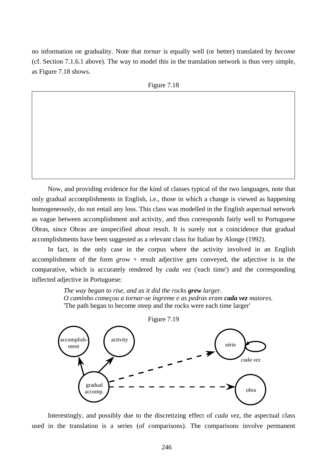no information on graduality. Note that *tornar* is equally well (or better) translated by *become* (cf. Section 7.1.6.1 above). The way to model this in the translation network is thus very simple, as Figure 7.18 shows.

Figure 7.18

Now, and providing evidence for the kind of classes typical of the two languages, note that only gradual accomplishments in English, i.e., those in which a change is viewed as happening homogeneously, do not entail any loss. This class was modelled in the English aspectual network as vague between accomplishment and activity, and thus corresponds fairly well to Portuguese Obras, since Obras are unspecified about result. It is surely not a coincidence that gradual accomplishments have been suggested as a relevant class for Italian by Alonge (1992).

In fact, in the only case in the corpus where the activity involved in an English accomplishment of the form *grow* + result adjective gets conveyed, the adjective is in the comparative, which is accurately rendered by *cada vez* ('each time') and the corresponding inflected adjective in Portuguese:

> *The way began to rise, and as it did the rocks grew larger. O caminho começou a tornar-se íngreme e as pedras eram cada vez maiores.*  'The path began to become steep and the rocks were each time larger'



Interestingly, and possibly due to the discretizing effect of *cada vez*, the aspectual class used in the translation is a series (of comparisons). The comparisons involve permanent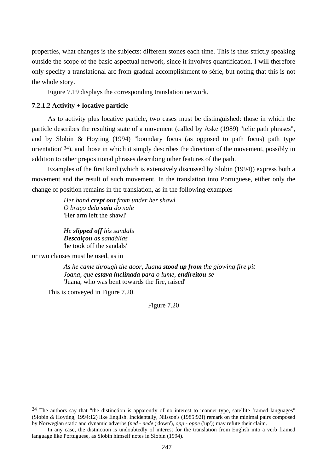properties, what changes is the subjects: different stones each time. This is thus strictly speaking outside the scope of the basic aspectual network, since it involves quantification. I will therefore only specify a translational arc from gradual accomplishment to série, but noting that this is not the whole story.

Figure 7.19 displays the corresponding translation network.

## **7.2.1.2 Activity + locative particle**

As to activity plus locative particle, two cases must be distinguished: those in which the particle describes the resulting state of a movement (called by Aske (1989) "telic path phrases", and by Slobin & Hoyting (1994) "boundary focus (as opposed to path focus) path type orientation"34), and those in which it simply describes the direction of the movement, possibly in addition to other prepositional phrases describing other features of the path.

Examples of the first kind (which is extensively discussed by Slobin (1994)) express both a movement and the result of such movement. In the translation into Portuguese, either only the change of position remains in the translation, as in the following examples

> *Her hand crept out from under her shawl O braço dela saiu do xale*  'Her arm left the shawl'

*He slipped off his sandals Descalçou as sandálias*  'he took off the sandals'

or two clauses must be used, as in

 $\overline{a}$ 

*As he came through the door, Juana stood up from the glowing fire pit Joana, que estava inclinada para o lume, endireitou-se*  'Juana, who was bent towards the fire, raised'

This is conveyed in Figure 7.20.

Figure 7.20

 $34$  The authors say that "the distinction is apparently of no interest to manner-type, satellite framed languages" (Slobin & Hoyting, 1994:12) like English. Incidentally, Nilsson's (1985:92f) remark on the minimal pairs composed by Norwegian static and dynamic adverbs (*ned* - *nede* ('down'), *opp* - *oppe* ('up')) may refute their claim.

In any case, the distinction is undoubtedly of interest for the translation from English into a verb framed language like Portuguese, as Slobin himself notes in Slobin (1994).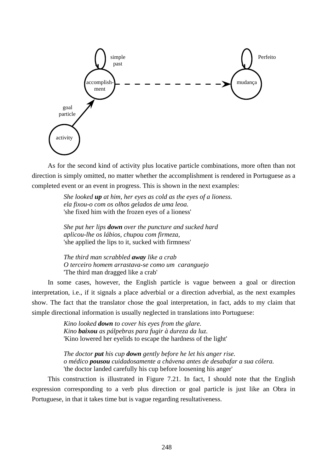

As for the second kind of activity plus locative particle combinations, more often than not direction is simply omitted, no matter whether the accomplishment is rendered in Portuguese as a completed event or an event in progress. This is shown in the next examples:

> *She looked up at him, her eyes as cold as the eyes of a lioness. ela fixou-o com os olhos gelados de uma leoa.*  'she fixed him with the frozen eyes of a lioness'

*She put her lips down over the puncture and sucked hard aplicou-lhe os lábios, chupou com firmeza,*  'she applied the lips to it, sucked with firmness'

*The third man scrabbled away like a crab O terceiro homem arrastava-se como um caranguejo*  'The third man dragged like a crab'

In some cases, however, the English particle is vague between a goal or direction interpretation, i.e., if it signals a place adverbial or a direction adverbial, as the next examples show. The fact that the translator chose the goal interpretation, in fact, adds to my claim that simple directional information is usually neglected in translations into Portuguese:

> *Kino looked down to cover his eyes from the glare. Kino baixou as pálpebras para fugir à dureza da luz.*  'Kino lowered her eyelids to escape the hardness of the light'

*The doctor put his cup down gently before he let his anger rise. o médico pousou cuidadosamente a chávena antes de desabafar a sua cólera.*  'the doctor landed carefully his cup before loosening his anger'

This construction is illustrated in Figure 7.21. In fact, I should note that the English expression corresponding to a verb plus direction or goal particle is just like an Obra in Portuguese, in that it takes time but is vague regarding resultativeness.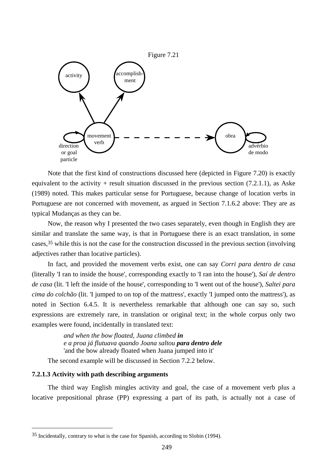

Note that the first kind of constructions discussed here (depicted in Figure 7.20) is exactly equivalent to the activity + result situation discussed in the previous section  $(7.2.1.1)$ , as Aske (1989) noted. This makes particular sense for Portuguese, because change of location verbs in Portuguese are not concerned with movement, as argued in Section 7.1.6.2 above: They are as typical Mudanças as they can be.

Now, the reason why I presented the two cases separately, even though in English they are similar and translate the same way, is that in Portuguese there is an exact translation, in some cases,35 while this is not the case for the construction discussed in the previous section (involving adjectives rather than locative particles).

In fact, and provided the movement verbs exist, one can say *Corri para dentro de casa* (literally 'I ran to inside the house', corresponding exactly to 'I ran into the house'), *Saí de dentro de casa* (lit. 'I left the inside of the house', corresponding to 'I went out of the house'), *Saltei para cima do colchão* (lit. 'I jumped to on top of the mattress', exactly 'I jumped onto the mattress'), as noted in Section 6.4.5. It is nevertheless remarkable that although one can say so, such expressions are extremely rare, in translation or original text; in the whole corpus only two examples were found, incidentally in translated text:

> *and when the bow floated, Juana climbed in e a proa já flutuava quando Joana saltou para dentro dele* 'and the bow already floated when Juana jumped into it'

The second example will be discussed in Section 7.2.2 below.

## **7.2.1.3 Activity with path describing arguments**

 $\overline{a}$ 

The third way English mingles activity and goal, the case of a movement verb plus a locative prepositional phrase (PP) expressing a part of its path, is actually not a case of

<sup>35</sup> Incidentally, contrary to what is the case for Spanish, according to Slobin (1994).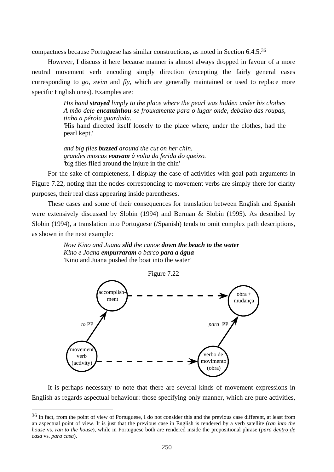compactness because Portuguese has similar constructions, as noted in Section 6.4.5.36

However, I discuss it here because manner is almost always dropped in favour of a more neutral movement verb encoding simply direction (excepting the fairly general cases corresponding to *go*, *swim* and *fly*, which are generally maintained or used to replace more specific English ones). Examples are:

> *His hand strayed limply to the place where the pearl was hidden under his clothes A mão dele encaminhou-se frouxamente para o lugar onde, debaixo das roupas, tinha a pérola guardada.*  'His hand directed itself loosely to the place where, under the clothes, had the pearl kept.'

*and big flies buzzed around the cut on her chin. grandes moscas voavam à volta da ferida do queixo.*  'big flies flied around the injure in the chin'

For the sake of completeness, I display the case of activities with goal path arguments in Figure 7.22, noting that the nodes corresponding to movement verbs are simply there for clarity purposes, their real class appearing inside parentheses.

These cases and some of their consequences for translation between English and Spanish were extensively discussed by Slobin (1994) and Berman & Slobin (1995). As described by Slobin (1994), a translation into Portuguese (/Spanish) tends to omit complex path descriptions, as shown in the next example:

> *Now Kino and Juana slid the canoe down the beach to the water Kino e Joana empurraram o barco para a água*  'Kino and Juana pushed the boat into the water'

> > Figure 7.22



It is perhaps necessary to note that there are several kinds of movement expressions in English as regards aspectual behaviour: those specifying only manner, which are pure activities,

 $\overline{a}$ 

<sup>&</sup>lt;sup>36</sup> In fact, from the point of view of Portuguese, I do not consider this and the previous case different, at least from an aspectual point of view. It is just that the previous case in English is rendered by a verb satellite (*ran into the house* vs. *ran to the house*), while in Portuguese both are rendered inside the prepositional phrase (*para dentro de casa* vs. *para casa*).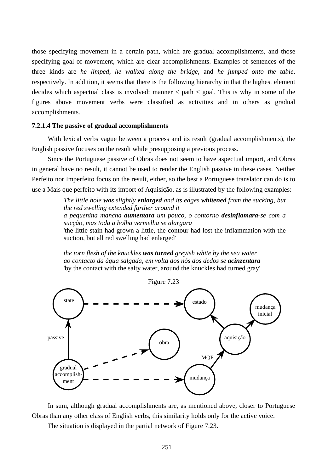those specifying movement in a certain path, which are gradual accomplishments, and those specifying goal of movement, which are clear accomplishments. Examples of sentences of the three kinds are *he limped*, *he walked along the bridge*, and *he jumped onto the table*, respectively. In addition, it seems that there is the following hierarchy in that the highest element decides which aspectual class is involved: manner < path < goal. This is why in some of the figures above movement verbs were classified as activities and in others as gradual accomplishments.

#### **7.2.1.4 The passive of gradual accomplishments**

With lexical verbs vague between a process and its result (gradual accomplishments), the English passive focuses on the result while presupposing a previous process.

Since the Portuguese passive of Obras does not seem to have aspectual import, and Obras in general have no result, it cannot be used to render the English passive in these cases. Neither Perfeito nor Imperfeito focus on the result, either, so the best a Portuguese translator can do is to use a Mais que perfeito with its import of Aquisição, as is illustrated by the following examples:

> *The little hole was slightly enlarged and its edges whitened from the sucking, but the red swelling extended farther around it a pequenina mancha aumentara um pouco, o contorno desinflamara-se com a sucção, mas toda a bolha vermelha se alargara*  'the little stain had grown a little, the contour had lost the inflammation with the suction, but all red swelling had enlarged'

*the torn flesh of the knuckles was turned greyish white by the sea water ao contacto da água salgada, em volta dos nós dos dedos se acinzentara* 

'by the contact with the salty water, around the knuckles had turned gray'



In sum, although gradual accomplishments are, as mentioned above, closer to Portuguese Obras than any other class of English verbs, this similarity holds only for the active voice.

The situation is displayed in the partial network of Figure 7.23.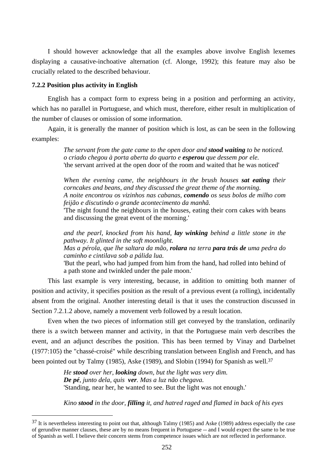I should however acknowledge that all the examples above involve English lexemes displaying a causative-inchoative alternation (cf. Alonge, 1992); this feature may also be crucially related to the described behaviour.

### **7.2.2 Position plus activity in English**

 $\overline{a}$ 

English has a compact form to express being in a position and performing an activity, which has no parallel in Portuguese, and which must, therefore, either result in multiplication of the number of clauses or omission of some information.

Again, it is generally the manner of position which is lost, as can be seen in the following examples:

> *The servant from the gate came to the open door and stood waiting to be noticed. o criado chegou à porta aberta do quarto e esperou que dessem por ele.*  'the servant arrived at the open door of the room and waited that he was noticed'

*When the evening came, the neighbours in the brush houses sat eating their corncakes and beans, and they discussed the great theme of the morning. A noite encontrou os vizinhos nas cabanas, comendo os seus bolos de milho com feijão e discutindo o grande acontecimento da manhã.* 

'The night found the neighbours in the houses, eating their corn cakes with beans and discussing the great event of the morning.'

*and the pearl, knocked from his hand, lay winking behind a little stone in the pathway. It glinted in the soft moonlight.* 

*Mas a pérola, que lhe saltara da mão, rolara na terra para trás de uma pedra do caminho e cintilava sob a pálida lua.* 

'But the pearl, who had jumped from him from the hand, had rolled into behind of a path stone and twinkled under the pale moon.'

This last example is very interesting, because, in addition to omitting both manner of position and activity, it specifies position as the result of a previous event (a rolling), incidentally absent from the original. Another interesting detail is that it uses the construction discussed in Section 7.2.1.2 above, namely a movement verb followed by a result location.

Even when the two pieces of information still get conveyed by the translation, ordinarily there is a switch between manner and activity, in that the Portuguese main verb describes the event, and an adjunct describes the position. This has been termed by Vinay and Darbelnet (1977:105) the "chassé-croisé" while describing translation between English and French, and has been pointed out by Talmy (1985), Aske (1989), and Slobin (1994) for Spanish as well.<sup>37</sup>

> *He stood over her, looking down, but the light was very dim. De pé, junto dela, quis ver. Mas a luz não chegava.*  'Standing, near her, he wanted to see. But the light was not enough.'

*Kino stood in the door, filling it, and hatred raged and flamed in back of his eyes* 

 $37$  It is nevertheless interesting to point out that, although Talmy (1985) and Aske (1989) address especially the case of gerundive manner clauses, these are by no means frequent in Portuguese -- and I would expect the same to be true of Spanish as well. I believe their concern stems from competence issues which are not reflected in performance.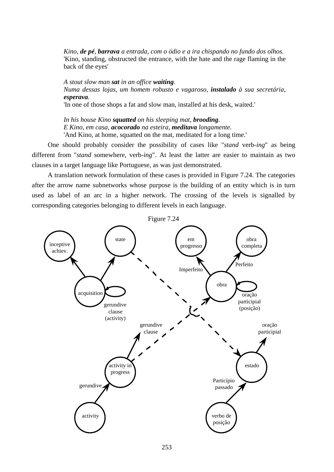*Kino, de pé, barrava a entrada, com o ódio e a ira chispando no fundo dos olhos.*  'Kino, standing, obstructed the entrance, with the hate and the rage flaming in the back of the eyes'

*A stout slow man sat in an office waiting. Numa dessas lojas, um homem robusto e vagaroso, instalado à sua secretária, esperava.* 

'In one of those shops a fat and slow man, installed at his desk, waited.'

*In his house Kino squatted on his sleeping mat, brooding. E Kino, em casa, acocorado na esteira, meditava longamente.*  'And Kino, at home, squatted on the mat, meditated for a long time.'

One should probably consider the possibility of cases like "*stand* verb-*ing*" as being different from "*stand* somewhere, verb-*ing*". At least the latter are easier to maintain as two clauses in a target language like Portuguese, as was just demonstrated.

A translation network formulation of these cases is provided in Figure 7.24. The categories after the arrow name subnetworks whose purpose is the building of an entity which is in turn used as label of an arc in a higher network. The crossing of the levels is signalled by corresponding categories belonging to different levels in each language.

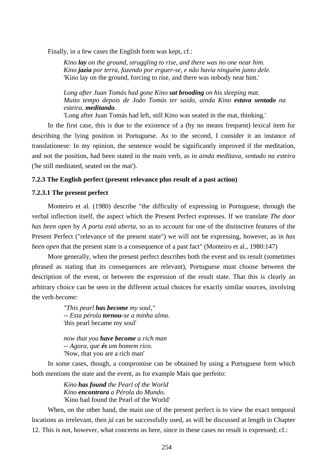Finally, in a few cases the English form was kept, cf.:

*Kino lay on the ground, struggling to rise, and there was no one near him. Kino jazia por terra, fazendo por erguer-se, e não havia ninguém junto dele.*  'Kino lay on the ground, forcing to rise, and there was nobody near him.'

*Long after Juan Tomás had gone Kino sat brooding on his sleeping mat. Muito tempo depois de João Tomás ter saído, ainda Kino estava sentado na esteira, meditando.* 

'Long after Juan Tomás had left, still Kino was seated in the mat, thinking.'

In the first case, this is due to the existence of a (by no means frequent) lexical item for describing the lying position in Portuguese. As to the second, I consider it an instance of translationese: In my opinion, the sentence would be significantly improved if the meditation, and not the position, had been stated in the main verb, as in *ainda meditava, sentado na esteira*  ('he still meditated, seated on the mat').

#### **7.2.3 The English perfect (present relevance plus result of a past action)**

#### **7.2.3.1 The present perfect**

Monteiro et al. (1980) describe "the difficulty of expressing in Portuguese, through the verbal inflection itself, the aspect which the Present Perfect expresses. If we translate *The door has been open* by *A porta está aberta*, so as to account for one of the distinctive features of the Present Perfect ("relevance of the present state") we will not be expressing, however, as in *has been open that the present state is a consequence of a past fact*" (Monteiro et al., 1980:147)

More generally, when the present perfect describes both the event and its result (sometimes phrased as stating that its consequences are relevant), Portuguese must choose between the description of the event, or between the expression of the result state. That this is clearly an arbitrary choice can be seen in the different actual choices for exactly similar sources, involving the verb *become*:

> *"This pearl has become my soul," -- Esta pérola tornou-se a minha alma.*  'this pearl became my soul'

*now that you have become a rich man -- Agora, que és um homem rico.*  'Now, that you are a rich man'

In some cases, though, a compromise can be obtained by using a Portuguese form which both mentions the state and the event, as for example Mais que perfeito:

> *Kino has found the Pearl of the World Kino encontrara a Pérola do Mundo.*  'Kino had found the Pearl of the World'

When, on the other hand, the main use of the present perfect is to view the exact temporal locations as irrelevant, then *já* can be successfully used, as will be discussed at length in Chapter 12. This is not, however, what concerns us here, since in these cases no result is expressed; cf.: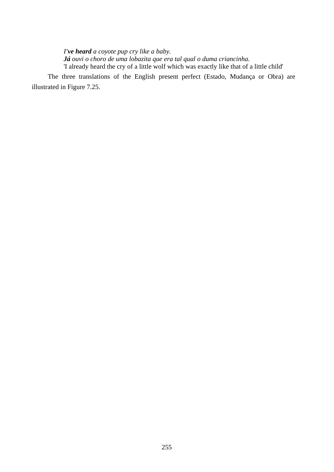*I've heard a coyote pup cry like a baby. Já ouvi o choro de uma lobazita que era tal qual o duma criancinha.*  'I already heard the cry of a little wolf which was exactly like that of a little child'

The three translations of the English present perfect (Estado, Mudança or Obra) are illustrated in Figure 7.25.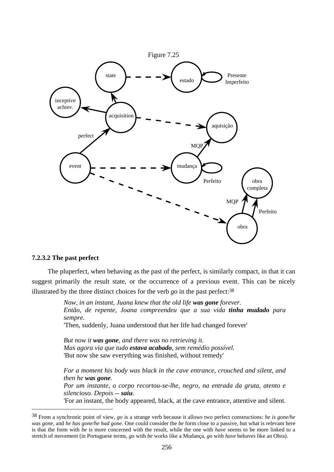

#### **7.2.3.2 The past perfect**

 $\overline{a}$ 

The pluperfect, when behaving as the past of the perfect, is similarly compact, in that it can suggest primarily the result state, or the occurrence of a previous event. This can be nicely illustrated by the three distinct choices for the verb  $g_0$  in the past perfect:<sup>38</sup>

> *Now, in an instant, Juana knew that the old life was gone forever. Então, de repente, Joana compreendeu que a sua vida tinha mudado para sempre.*  'Then, suddenly, Juana understood that her life had changed forever'

*But now it was gone, and there was no retrieving it. Mas agora via que tudo estava acabado, sem remédio possível.*  'But now she saw everything was finished, without remedy'

*For a moment his body was black in the cave entrance, crouched and silent, and then he was gone.* 

*Por um instante, o corpo recortou-se-lhe, negro, na entrada da gruta, atento e silencioso. Depois -- saiu.* 

'For an instant, the body appeared, black, at the cave entrance, attentive and silent.

<sup>38</sup> From a synchronic point of view, *go* is a strange verb because it allows two perfect constructions: *he is gone/he was gone*, and *he has gone/he had gone*. One could consider the *be* form close to a passive, but what is relevant here is that the form with *be* is more concerned with the result, while the one with *have* seems to be more linked to a stretch of movement (in Portuguese terms, *go* with *be* works like a Mudança, *go* with *have* behaves like an Obra).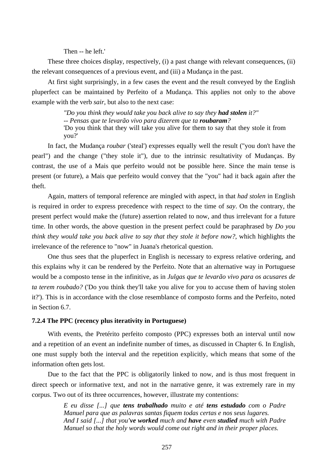Then -- he left.'

These three choices display, respectively, (i) a past change with relevant consequences, (ii) the relevant consequences of a previous event, and (iii) a Mudança in the past.

At first sight surprisingly, in a few cases the event and the result conveyed by the English pluperfect can be maintained by Perfeito of a Mudança. This applies not only to the above example with the verb *sair*, but also to the next case:

> *"Do you think they would take you back alive to say they had stolen it?" -- Pensas que te levarão vivo para dizerem que ta roubaram?*  'Do you think that they will take you alive for them to say that they stole it from you?'

In fact, the Mudança *roubar* ('steal') expresses equally well the result ("you don't have the pearl") and the change ("they stole it"), due to the intrinsic resultativity of Mudanças. By contrast, the use of a Mais que perfeito would not be possible here. Since the main tense is present (or future), a Mais que perfeito would convey that the "you" had it back again after the theft.

Again, matters of temporal reference are mingled with aspect, in that *had stolen* in English is required in order to express precedence with respect to the time of *say*. On the contrary, the present perfect would make the (future) assertion related to now, and thus irrelevant for a future time. In other words, the above question in the present perfect could be paraphrased by *Do you think they would take you back alive to say that they stole it before now?*, which highlights the irrelevance of the reference to "now" in Juana's rhetorical question.

One thus sees that the pluperfect in English is necessary to express relative ordering, and this explains why it can be rendered by the Perfeito. Note that an alternative way in Portuguese would be a composto tense in the infinitive, as in *Julgas que te levarão vivo para os acusares de ta terem roubado?* ('Do you think they'll take you alive for you to accuse them of having stolen it?'). This is in accordance with the close resemblance of composto forms and the Perfeito, noted in Section 6.7.

#### **7.2.4 The PPC (recency plus iterativity in Portuguese)**

With events, the Pretérito perfeito composto (PPC) expresses both an interval until now and a repetition of an event an indefinite number of times, as discussed in Chapter 6. In English, one must supply both the interval and the repetition explicitly, which means that some of the information often gets lost.

Due to the fact that the PPC is obligatorily linked to now, and is thus most frequent in direct speech or informative text, and not in the narrative genre, it was extremely rare in my corpus. Two out of its three occurrences, however, illustrate my contentions:

> *E eu disse [...] que tens trabalhado muito e até tens estudado com o Padre Manuel para que as palavras santas fiquem todas certas e nos seus lugares. And I said [...] that you've worked much and have even studied much with Padre Manuel so that the holy words would come out right and in their proper places.*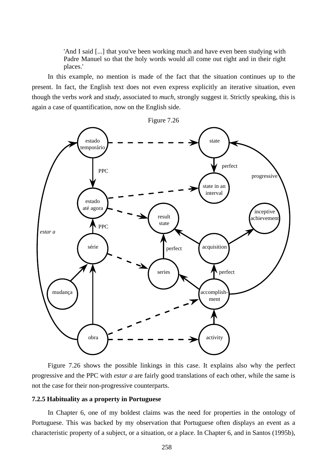'And I said [...] that you've been working much and have even been studying with Padre Manuel so that the holy words would all come out right and in their right places.'

In this example, no mention is made of the fact that the situation continues up to the present. In fact, the English text does not even express explicitly an iterative situation, even though the verbs *work* and *study*, associated to *much*, strongly suggest it. Strictly speaking, this is again a case of quantification, now on the English side.



Figure 7.26 shows the possible linkings in this case. It explains also why the perfect progressive and the PPC with *estar a* are fairly good translations of each other, while the same is not the case for their non-progressive counterparts.

## **7.2.5 Habituality as a property in Portuguese**

In Chapter 6, one of my boldest claims was the need for properties in the ontology of Portuguese. This was backed by my observation that Portuguese often displays an event as a characteristic property of a subject, or a situation, or a place. In Chapter 6, and in Santos (1995b),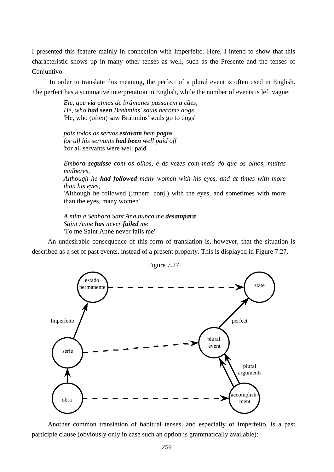I presented this feature mainly in connection with Imperfeito. Here, I intend to show that this characteristic shows up in many other tenses as well, such as the Presente and the tenses of Conjuntivo.

 In order to translate this meaning, the perfect of a plural event is often used in English. The perfect has a summative interpretation in English, while the number of events is left vague:

> *Ele, que via almas de brâmanes passarem a cães, He, who had seen Brahmins' souls become dogs'*  'He, who (often) saw Brahmins' souls go to dogs'

*pois todos os servos estavam bem pagos for all his servants had been well paid off*  'for all servants were well paid'

*Embora seguisse com os olhos, e às vezes com mais do que os olhos, muitas mulheres,* 

*Although he had followed many women with his eyes, and at times with more than his eyes,* 

'Although he followed (Imperf. conj.) with the eyes, and sometimes with more than the eyes, many women'

*A mim a Senhora Sant'Ana nunca me desampara Saint Anne has never failed me*  'To me Saint Anne never fails me'

An undesirable consequence of this form of translation is, however, that the situation is described as a set of past events, instead of a present property. This is displayed in Figure 7.27.



Another common translation of habitual tenses, and especially of Imperfeito, is a past participle clause (obviously only in case such an option is grammatically available):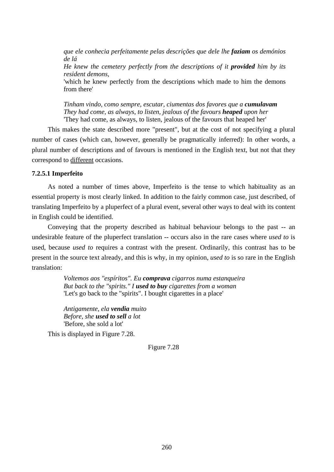*que ele conhecia perfeitamente pelas descrições que dele lhe faziam os demónios de lá He knew the cemetery perfectly from the descriptions of it provided him by its resident demons,*  'which he knew perfectly from the descriptions which made to him the demons from there'

*Tinham vindo, como sempre, escutar, ciumentas dos favores que a cumulavam They had come, as always, to listen, jealous of the favours heaped upon her*  'They had come, as always, to listen, jealous of the favours that heaped her'

This makes the state described more "present", but at the cost of not specifying a plural number of cases (which can, however, generally be pragmatically inferred): In other words, a plural number of descriptions and of favours is mentioned in the English text, but not that they correspond to different occasions.

## **7.2.5.1 Imperfeito**

As noted a number of times above, Imperfeito is the tense to which habituality as an essential property is most clearly linked. In addition to the fairly common case, just described, of translating Imperfeito by a pluperfect of a plural event, several other ways to deal with its content in English could be identified.

Conveying that the property described as habitual behaviour belongs to the past -- an undesirable feature of the pluperfect translation -- occurs also in the rare cases where *used to* is used, because *used to* requires a contrast with the present. Ordinarily, this contrast has to be present in the source text already, and this is why, in my opinion, *used to* is so rare in the English translation:

> *Voltemos aos "espíritos". Eu comprava cigarros numa estanqueira But back to the "spirits." I used to buy cigarettes from a woman*  'Let's go back to the "spirits". I bought cigarettes in a place'

*Antigamente, ela vendia muito Before, she used to sell a lot*  'Before, she sold a lot'

This is displayed in Figure 7.28.

Figure 7.28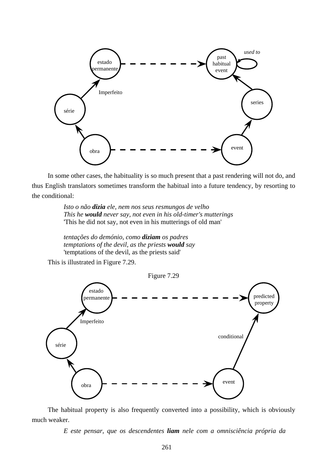

In some other cases, the habituality is so much present that a past rendering will not do, and thus English translators sometimes transform the habitual into a future tendency, by resorting to the conditional:

> *Isto o não dizia ele, nem nos seus resmungos de velho This he would never say, not even in his old-timer's mutterings*  'This he did not say, not even in his mutterings of old man'

*tentações do demónio, como diziam os padres temptations of the devil, as the priests would say*  'temptations of the devil, as the priests said'

This is illustrated in Figure 7.29.



The habitual property is also frequently converted into a possibility, which is obviously much weaker.

*E este pensar, que os descendentes liam nele com a omnisciência própria da*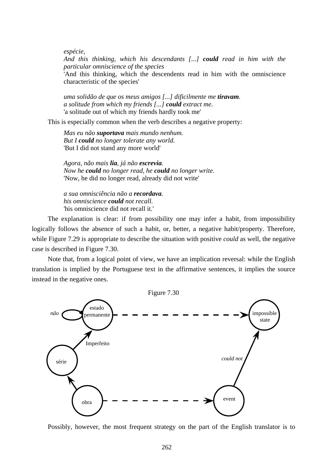*espécie,* 

*And this thinking, which his descendants [...] could read in him with the particular omniscience of the species* 

'And this thinking, which the descendents read in him with the omniscience characteristic of the species'

*uma solidão de que os meus amigos [...] dificilmente me tiravam. a solitude from which my friends [...] could extract me.*  'a solitude out of which my friends hardly took me'

This is especially common when the verb describes a negative property:

*Mas eu não suportava mais mundo nenhum. But I could no longer tolerate any world.*  'But I did not stand any more world'

*Agora, não mais lia, já não escrevia. Now he could no longer read, he could no longer write.*  'Now, he did no longer read, already did not write'

*a sua omnisciência não a recordava. his omniscience could not recall.*  'his omniscience did not recall it.'

The explanation is clear: if from possibility one may infer a habit, from impossibility logically follows the absence of such a habit, or, better, a negative habit/property. Therefore, while Figure 7.29 is appropriate to describe the situation with positive *could* as well, the negative case is described in Figure 7.30.

Note that, from a logical point of view, we have an implication reversal: while the English translation is implied by the Portuguese text in the affirmative sentences, it implies the source instead in the negative ones.



Possibly, however, the most frequent strategy on the part of the English translator is to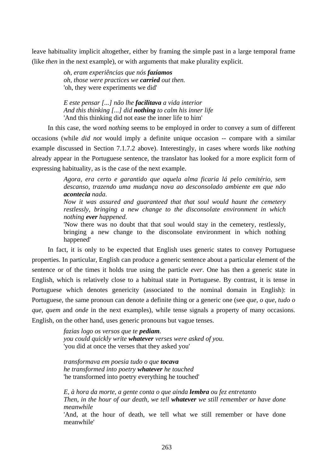leave habituality implicit altogether, either by framing the simple past in a large temporal frame (like *then* in the next example), or with arguments that make plurality explicit.

> *oh, eram experiências que nós fazíamos oh, those were practices we carried out then.*  'oh, they were experiments we did'

*E este pensar [...] não lhe facilitava a vida interior And this thinking [...] did nothing to calm his inner life*  'And this thinking did not ease the inner life to him'

In this case, the word *nothing* seems to be employed in order to convey a sum of different occasions (while *did not* would imply a definite unique occasion -- compare with a similar example discussed in Section 7.1.7.2 above). Interestingly, in cases where words like *nothing* already appear in the Portuguese sentence, the translator has looked for a more explicit form of expressing habituality, as is the case of the next example.

> *Agora, era certo e garantido que aquela alma ficaria lá pelo cemitério, sem descanso, trazendo uma mudança nova ao desconsolado ambiente em que não acontecia nada.*

> *Now it was assured and guaranteed that that soul would haunt the cemetery restlessly, bringing a new change to the disconsolate environment in which nothing ever happened.*

> 'Now there was no doubt that that soul would stay in the cemetery, restlessly, bringing a new change to the disconsolate environment in which nothing happened'

In fact, it is only to be expected that English uses generic states to convey Portuguese properties. In particular, English can produce a generic sentence about a particular element of the sentence or of the times it holds true using the particle *ever*. One has then a generic state in English, which is relatively close to a habitual state in Portuguese. By contrast, it is tense in Portuguese which denotes genericity (associated to the nominal domain in English): in Portuguese, the same pronoun can denote a definite thing or a generic one (see *que*, *o que*, *tudo o que*, *quem* and *onde* in the next examples), while tense signals a property of many occasions. English, on the other hand, uses generic pronouns but vague tenses.

> *fazias logo os versos que te pediam. you could quickly write whatever verses were asked of you.*  'you did at once the verses that they asked you'

*transformava em poesia tudo o que tocava he transformed into poetry whatever he touched*  'he transformed into poetry everything he touched'

*E, à hora da morte, a gente conta o que ainda lembra ou fez entretanto Then, in the hour of our death, we tell whatever we still remember or have done meanwhile* 

'And, at the hour of death, we tell what we still remember or have done meanwhile'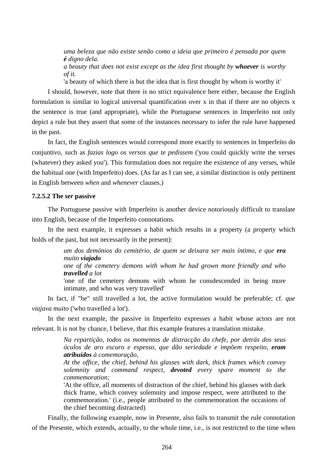*uma beleza que não existe senão como a ideia que primeiro é pensada por quem é digno dela.* 

*a beauty that does not exist except as the idea first thought by whoever is worthy of it.* 

'a beauty of which there is but the idea that is first thought by whom is worthy it'

I should, however, note that there is no strict equivalence here either, because the English formulation is similar to logical universal quantification over x in that if there are no objects x the sentence is true (and appropriate), while the Portuguese sentences in Imperfeito not only depict a rule but they assert that some of the instances necessary to infer the rule have happened in the past.

In fact, the English sentences would correspond more exactly to sentences in Imperfeito do conjuntivo, such as *fazias logo os versos que te pedissem* ('you could quickly write the verses (whatever) they asked you'). This formulation does not require the existence of any verses, while the habitual one (with Imperfeito) does. (As far as I can see, a similar distinction is only pertinent in English between *when* and *whenever* clauses.)

## **7.2.5.2 The** *ser* **passive**

The Portuguese passive with Imperfeito is another device notoriously difficult to translate into English, because of the Imperfeito connotations.

In the next example, it expresses a habit which results in a property (a property which holds of the past, but not necessarily in the present):

> *um dos demónios do cemitério, de quem se deixara ser mais íntimo, e que era muito viajado*

> *one of the cemetery demons with whom he had grown more friendly and who travelled a lot*

> 'one of the cemetery demons with whom he consdescended in being more intimate, and who was very travelled'

In fact, if "he" still travelled a lot, the active formulation would be preferable; cf. *que viajava muito* ('who travelled a lot').

In the next example, the passive in Imperfeito expresses a habit whose actors are not relevant. It is not by chance, I believe, that this example features a translation mistake.

> *Na repartição, todos os momentos de distracção do chefe, por detrás dos seus óculos de aro escuro e espesso, que dão seriedade e impõem respeito, eram atribuídos à comemoração,*

> *At the office, the chief, behind his glasses with dark, thick frames which convey solemnity and command respect, devoted every spare moment to the commemoration;*

> 'At the office, all moments of distraction of the chief, behind his glasses with dark thick frame, which convey solemnity and impose respect, were attributed to the commemoration.' (i.e., people attributed to the commemoration the occasions of the chief becoming distracted)

Finally, the following example, now in Presente, also fails to transmit the rule connotation of the Presente, which extends, actually, to the whole time, i.e., is not restricted to the time when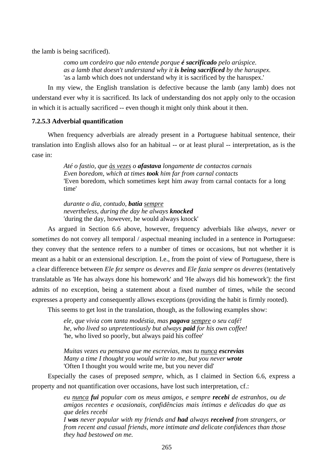the lamb is being sacrificed).

*como um cordeiro que não entende porque é sacrificado pelo arúspice. as a lamb that doesn't understand why it is being sacrificed by the haruspex.*  'as a lamb which does not understand why it is sacrificed by the haruspex.'

In my view, the English translation is defective because the lamb (any lamb) does not understand ever why it is sacrificed. Its lack of understanding dos not apply only to the occasion in which it is actually sacrificed -- even though it might only think about it then.

## **7.2.5.3 Adverbial quantification**

When frequency adverbials are already present in a Portuguese habitual sentence, their translation into English allows also for an habitual -- or at least plural -- interpretation, as is the case in:

> *Até o fastio, que às vezes o afastava longamente de contactos carnais Even boredom, which at times took him far from carnal contacts*  'Even boredom, which sometimes kept him away from carnal contacts for a long time'

*durante o dia, contudo, batia sempre nevertheless, during the day he always knocked* 'during the day, however, he would always knock'

As argued in Section 6.6 above, however, frequency adverbials like *always*, *never* or *sometimes* do not convey all temporal / aspectual meaning included in a sentence in Portuguese: they convey that the sentence refers to a number of times or occasions, but not whether it is meant as a habit or an extensional description. I.e., from the point of view of Portuguese, there is a clear difference between *Ele fez sempre os deveres* and *Ele fazia sempre os deveres* (tentatively translatable as 'He has always done his homework' and 'He always did his homework'): the first admits of no exception, being a statement about a fixed number of times, while the second expresses a property and consequently allows exceptions (providing the habit is firmly rooted).

This seems to get lost in the translation, though, as the following examples show:

*ele, que vivia com tanta modéstia, mas pagava sempre o seu café! he, who lived so unpretentiously but always paid for his own coffee!*  'he, who lived so poorly, but always paid his coffee'

*Muitas vezes eu pensava que me escrevias, mas tu nunca escrevias Many a time I thought you would write to me, but you never wrote*  'Often I thought you would write me, but you never did'

Especially the cases of preposed *sempre*, which, as I claimed in Section 6.6, express a property and not quantification over occasions, have lost such interpretation, cf.:

> *eu nunca fui popular com os meus amigos, e sempre recebi de estranhos, ou de amigos recentes e ocasionais, confidências mais íntimas e delicadas do que as que deles recebi*

> *I was never popular with my friends and had always received from strangers, or from recent and casual friends, more intimate and delicate confidences than those they had bestowed on me.*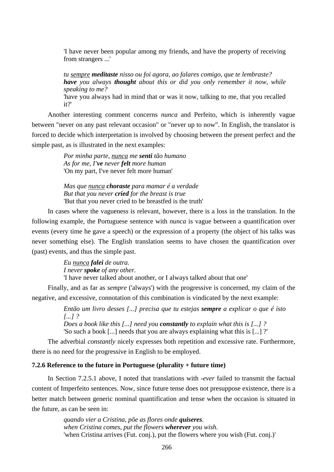'I have never been popular among my friends, and have the property of receiving from strangers ...'

*tu sempre meditaste nisso ou foi agora, ao falares comigo, que te lembraste? have you always thought about this or did you only remember it now, while speaking to me?* 

'have you always had in mind that or was it now, talking to me, that you recalled it?'

Another interesting comment concerns *nunca* and Perfeito, which is inherently vague between "never on any past relevant occasion" or "never up to now". In English, the translator is forced to decide which interpretation is involved by choosing between the present perfect and the simple past, as is illustrated in the next examples:

> *Por minha parte, nunca me senti tão humano As for me, I've never felt more human*  'On my part, I've never felt more human'

*Mas que nunca choraste para mamar é a verdade But that you never cried for the breast is true*  'But that you never cried to be breastfed is the truth'

In cases where the vagueness is relevant, however, there is a loss in the translation. In the following example, the Portuguese sentence with *nunca* is vague between a quantification over events (every time he gave a speech) or the expression of a property (the object of his talks was never something else). The English translation seems to have chosen the quantification over (past) events, and thus the simple past.

> *Eu nunca falei de outra. I never spoke of any other.*  'I have never talked about another, or I always talked about that one'

Finally, and as far as *sempre* ('always') with the progressive is concerned, my claim of the negative, and excessive, connotation of this combination is vindicated by the next example:

> *Então um livro desses [...] precisa que tu estejas sempre a explicar o que é isto [...] ? Does a book like this [...] need you constantly to explain what this is [...] ?*

'So such a book [...] needs that you are always explaining what this is [...] ?'

The adverbial *constantly* nicely expresses both repetition and excessive rate. Furthermore, there is no need for the progressive in English to be employed.

## **7.2.6 Reference to the future in Portuguese (plurality + future time)**

In Section 7.2.5.1 above, I noted that translations with *-ever* failed to transmit the factual content of Imperfeito sentences. Now, since future tense does not presuppose existence, there is a better match between generic nominal quantification and tense when the occasion is situated in the future, as can be seen in:

> *quando vier a Cristina, põe as flores onde quiseres. when Cristina comes, put the flowers wherever you wish.*  'when Cristina arrives (Fut. conj.), put the flowers where you wish (Fut. conj.)'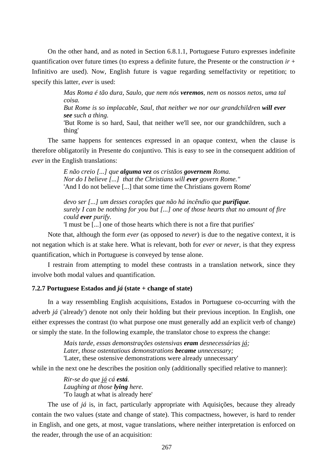On the other hand, and as noted in Section 6.8.1.1, Portuguese Futuro expresses indefinite quantification over future times (to express a definite future, the Presente or the construction  $ir +$ Infinitivo are used). Now, English future is vague regarding semelfactivity or repetition; to specify this latter, *ever* is used:

> *Mas Roma é tão dura, Saulo, que nem nós veremos, nem os nossos netos, uma tal coisa. But Rome is so implacable, Saul, that neither we nor our grandchildren will ever see such a thing.*  'But Rome is so hard, Saul, that neither we'll see, nor our grandchildren, such a thing'

The same happens for sentences expressed in an opaque context, when the clause is therefore obligatorily in Presente do conjuntivo. This is easy to see in the consequent addition of *ever* in the English translations:

> *E não creio [...] que alguma vez os cristãos governem Roma. Nor do I believe* [...] that the Christians will *ever* govern Rome." 'And I do not believe [...] that some time the Christians govern Rome'

*devo ser [...] um desses corações que não há incêndio que purifique. surely I can be nothing for you but [...] one of those hearts that no amount of fire could ever purify.* 

'I must be [...] one of those hearts which there is not a fire that purifies'

Note that, although the form *ever* (as opposed to *never*) is due to the negative context, it is not negation which is at stake here. What is relevant, both for *ever* or *never*, is that they express quantification, which in Portuguese is conveyed by tense alone.

I restrain from attempting to model these contrasts in a translation network, since they involve both modal values and quantification.

## **7.2.7 Portuguese Estados and** *já* **(state + change of state)**

In a way ressembling English acquisitions, Estados in Portuguese co-occurring with the adverb *já* ('already') denote not only their holding but their previous inception. In English, one either expresses the contrast (to what purpose one must generally add an explicit verb of change) or simply the state. In the following example, the translator chose to express the change:

> *Mais tarde, essas demonstrações ostensivas eram desnecessárias já; Later, those ostentatious demonstrations became unnecessary;*  'Later, these ostensive demonstrations were already unnecessary'

while in the next one he describes the position only (additionally specified relative to manner):

*Rir-se do que já cá está. Laughing at those lying here.*  'To laugh at what is already here'

The use of *já* is, in fact, particularly appropriate with Aquisições, because they already contain the two values (state and change of state). This compactness, however, is hard to render in English, and one gets, at most, vague translations, where neither interpretation is enforced on the reader, through the use of an acquisition: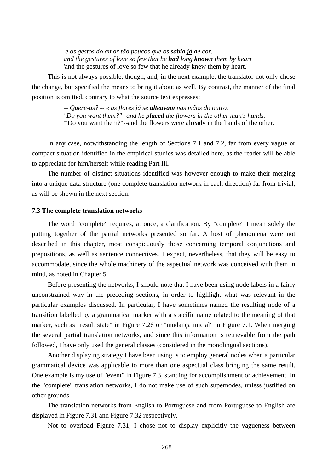*e os gestos do amor tão poucos que os sabia já de cor. and the gestures of love so few that he had long known them by heart*  'and the gestures of love so few that he already knew them by heart.'

This is not always possible, though, and, in the next example, the translator not only chose the change, but specified the means to bring it about as well. By contrast, the manner of the final position is omitted, contrary to what the source text expresses:

> *-- Quere-as? -- e as flores já se alteavam nas mãos do outro. "Do you want them?"--and he placed the flowers in the other man's hands.*  '"Do you want them?"--and the flowers were already in the hands of the other.

In any case, notwithstanding the length of Sections 7.1 and 7.2, far from every vague or compact situation identified in the empirical studies was detailed here, as the reader will be able to appreciate for him/herself while reading Part III.

The number of distinct situations identified was however enough to make their merging into a unique data structure (one complete translation network in each direction) far from trivial, as will be shown in the next section.

#### **7.3 The complete translation networks**

The word "complete" requires, at once, a clarification. By "complete" I mean solely the putting together of the partial networks presented so far. A host of phenomena were not described in this chapter, most conspicuously those concerning temporal conjunctions and prepositions, as well as sentence connectives. I expect, nevertheless, that they will be easy to accommodate, since the whole machinery of the aspectual network was conceived with them in mind, as noted in Chapter 5.

Before presenting the networks, I should note that I have been using node labels in a fairly unconstrained way in the preceding sections, in order to highlight what was relevant in the particular examples discussed. In particular, I have sometimes named the resulting node of a transition labelled by a grammatical marker with a specific name related to the meaning of that marker, such as "result state" in Figure 7.26 or "mudança inicial" in Figure 7.1. When merging the several partial translation networks, and since this information is retrievable from the path followed, I have only used the general classes (considered in the monolingual sections).

Another displaying strategy I have been using is to employ general nodes when a particular grammatical device was applicable to more than one aspectual class bringing the same result. One example is my use of "event" in Figure 7.3, standing for accomplishment or achievement. In the "complete" translation networks, I do not make use of such supernodes, unless justified on other grounds.

The translation networks from English to Portuguese and from Portuguese to English are displayed in Figure 7.31 and Figure 7.32 respectively.

Not to overload Figure 7.31, I chose not to display explicitly the vagueness between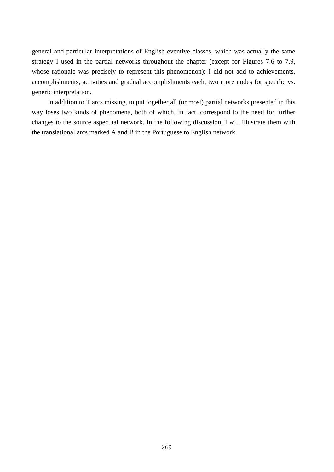general and particular interpretations of English eventive classes, which was actually the same strategy I used in the partial networks throughout the chapter (except for Figures 7.6 to 7.9, whose rationale was precisely to represent this phenomenon): I did not add to achievements, accomplishments, activities and gradual accomplishments each, two more nodes for specific vs. generic interpretation.

In addition to T arcs missing, to put together all (or most) partial networks presented in this way loses two kinds of phenomena, both of which, in fact, correspond to the need for further changes to the source aspectual network. In the following discussion, I will illustrate them with the translational arcs marked A and B in the Portuguese to English network.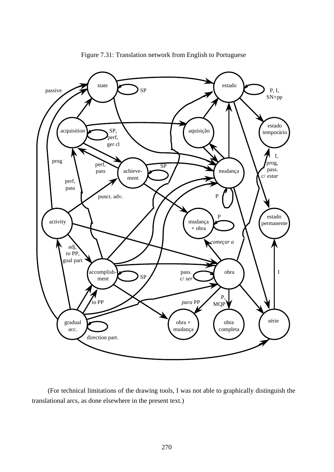

Figure 7.31: Translation network from English to Portuguese

(For technical limitations of the drawing tools, I was not able to graphically distinguish the translational arcs, as done elsewhere in the present text.)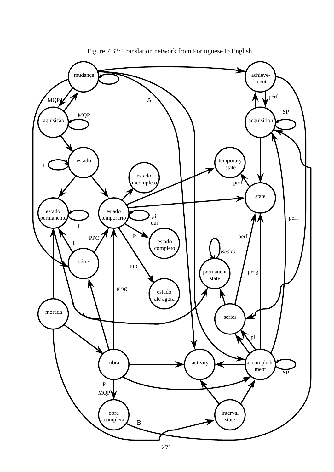

Figure 7.32: Translation network from Portuguese to English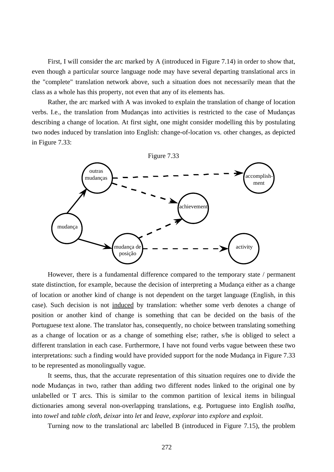First, I will consider the arc marked by A (introduced in Figure 7.14) in order to show that, even though a particular source language node may have several departing translational arcs in the "complete" translation network above, such a situation does not necessarily mean that the class as a whole has this property, not even that any of its elements has.

Rather, the arc marked with A was invoked to explain the translation of change of location verbs. I.e., the translation from Mudanças into activities is restricted to the case of Mudanças describing a change of location. At first sight, one might consider modelling this by postulating two nodes induced by translation into English: change-of-location vs. other changes, as depicted in Figure 7.33:



However, there is a fundamental difference compared to the temporary state / permanent state distinction, for example, because the decision of interpreting a Mudança either as a change of location or another kind of change is not dependent on the target language (English, in this case). Such decision is not induced by translation: whether some verb denotes a change of position or another kind of change is something that can be decided on the basis of the Portuguese text alone. The translator has, consequently, no choice between translating something as a change of location or as a change of something else; rather, s/he is obliged to select a different translation in each case. Furthermore, I have not found verbs vague between these two interpretations: such a finding would have provided support for the node Mudança in Figure 7.33 to be represented as monolingually vague.

It seems, thus, that the accurate representation of this situation requires one to divide the node Mudanças in two, rather than adding two different nodes linked to the original one by unlabelled or T arcs. This is similar to the common partition of lexical items in bilingual dictionaries among several non-overlapping translations, e.g. Portuguese into English *toalha*, into *towel* and *table cloth*, *deixar* into *let* and *leave*, *explorar* into *explore* and *exploit*.

Turning now to the translational arc labelled B (introduced in Figure 7.15), the problem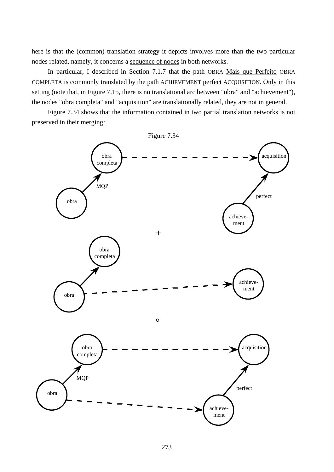here is that the (common) translation strategy it depicts involves more than the two particular nodes related, namely, it concerns a sequence of nodes in both networks.

In particular, I described in Section 7.1.7 that the path OBRA Mais que Perfeito OBRA COMPLETA is commonly translated by the path ACHIEVEMENT perfect ACQUISITION. Only in this setting (note that, in Figure 7.15, there is no translational arc between "obra" and "achievement"), the nodes "obra completa" and "acquisition" are translationally related, they are not in general.

Figure 7.34 shows that the information contained in two partial translation networks is not preserved in their merging:

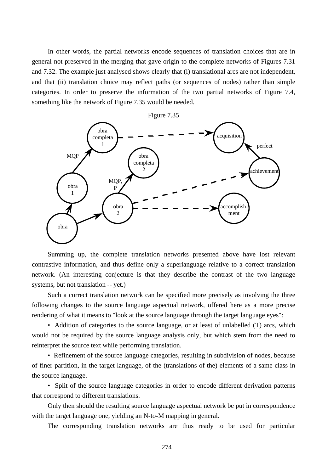In other words, the partial networks encode sequences of translation choices that are in general not preserved in the merging that gave origin to the complete networks of Figures 7.31 and 7.32. The example just analysed shows clearly that (i) translational arcs are not independent, and that (ii) translation choice may reflect paths (or sequences of nodes) rather than simple categories. In order to preserve the information of the two partial networks of Figure 7.4, something like the network of Figure 7.35 would be needed.



Summing up, the complete translation networks presented above have lost relevant contrastive information, and thus define only a superlanguage relative to a correct translation network. (An interesting conjecture is that they describe the contrast of the two language systems, but not translation -- yet.)

Such a correct translation network can be specified more precisely as involving the three following changes to the source language aspectual network, offered here as a more precise rendering of what it means to "look at the source language through the target language eyes":

• Addition of categories to the source language, or at least of unlabelled (T) arcs, which would not be required by the source language analysis only, but which stem from the need to reinterpret the source text while performing translation.

• Refinement of the source language categories, resulting in subdivision of nodes, because of finer partition, in the target language, of the (translations of the) elements of a same class in the source language.

• Split of the source language categories in order to encode different derivation patterns that correspond to different translations.

Only then should the resulting source language aspectual network be put in correspondence with the target language one, yielding an N-to-M mapping in general.

The corresponding translation networks are thus ready to be used for particular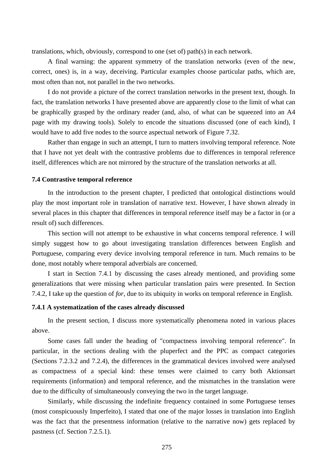translations, which, obviously, correspond to one (set of) path(s) in each network.

A final warning: the apparent symmetry of the translation networks (even of the new, correct, ones) is, in a way, deceiving. Particular examples choose particular paths, which are, most often than not, not parallel in the two networks.

I do not provide a picture of the correct translation networks in the present text, though. In fact, the translation networks I have presented above are apparently close to the limit of what can be graphically grasped by the ordinary reader (and, also, of what can be squeezed into an A4 page with my drawing tools). Solely to encode the situations discussed (one of each kind), I would have to add five nodes to the source aspectual network of Figure 7.32.

Rather than engage in such an attempt, I turn to matters involving temporal reference. Note that I have not yet dealt with the contrastive problems due to differences in temporal reference itself, differences which are not mirrored by the structure of the translation networks at all.

#### **7.4 Contrastive temporal reference**

In the introduction to the present chapter, I predicted that ontological distinctions would play the most important role in translation of narrative text. However, I have shown already in several places in this chapter that differences in temporal reference itself may be a factor in (or a result of) such differences.

This section will not attempt to be exhaustive in what concerns temporal reference. I will simply suggest how to go about investigating translation differences between English and Portuguese, comparing every device involving temporal reference in turn. Much remains to be done, most notably where temporal adverbials are concerned.

I start in Section 7.4.1 by discussing the cases already mentioned, and providing some generalizations that were missing when particular translation pairs were presented. In Section 7.4.2, I take up the question of *for*, due to its ubiquity in works on temporal reference in English.

### **7.4.1 A systematization of the cases already discussed**

In the present section, I discuss more systematically phenomena noted in various places above.

Some cases fall under the heading of "compactness involving temporal reference". In particular, in the sections dealing with the pluperfect and the PPC as compact categories (Sections 7.2.3.2 and 7.2.4), the differences in the grammatical devices involved were analysed as compactness of a special kind: these tenses were claimed to carry both Aktionsart requirements (information) and temporal reference, and the mismatches in the translation were due to the difficulty of simultaneously conveying the two in the target language.

Similarly, while discussing the indefinite frequency contained in some Portuguese tenses (most conspicuously Imperfeito), I stated that one of the major losses in translation into English was the fact that the presentness information (relative to the narrative now) gets replaced by pastness (cf. Section 7.2.5.1).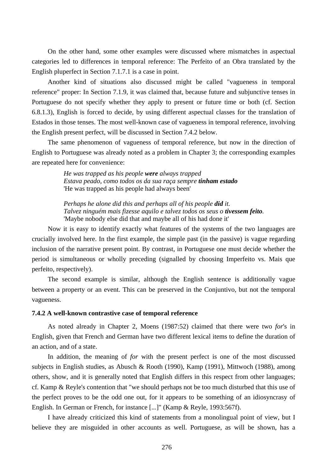On the other hand, some other examples were discussed where mismatches in aspectual categories led to differences in temporal reference: The Perfeito of an Obra translated by the English pluperfect in Section 7.1.7.1 is a case in point.

Another kind of situations also discussed might be called "vagueness in temporal reference" proper: In Section 7.1.9, it was claimed that, because future and subjunctive tenses in Portuguese do not specify whether they apply to present or future time or both (cf. Section 6.8.1.3), English is forced to decide, by using different aspectual classes for the translation of Estados in those tenses. The most well-known case of vagueness in temporal reference, involving the English present perfect, will be discussed in Section 7.4.2 below.

The same phenomenon of vagueness of temporal reference, but now in the direction of English to Portuguese was already noted as a problem in Chapter 3; the corresponding examples are repeated here for convenience:

> *He was trapped as his people were always trapped Estava peado, como todos os da sua raça sempre tinham estado*  'He was trapped as his people had always been'

*Perhaps he alone did this and perhaps all of his people did it. Talvez ninguém mais fizesse aquilo e talvez todos os seus o tivessem feito.*  'Maybe nobody else did that and maybe all of his had done it'

Now it is easy to identify exactly what features of the systems of the two languages are crucially involved here. In the first example, the simple past (in the passive) is vague regarding inclusion of the narrative present point. By contrast, in Portuguese one must decide whether the period is simultaneous or wholly preceding (signalled by choosing Imperfeito vs. Mais que perfeito, respectively).

The second example is similar, although the English sentence is additionally vague between a property or an event. This can be preserved in the Conjuntivo, but not the temporal vagueness.

## **7.4.2 A well-known contrastive case of temporal reference**

As noted already in Chapter 2, Moens (1987:52) claimed that there were two *for*'s in English, given that French and German have two different lexical items to define the duration of an action, and of a state.

In addition, the meaning of *for* with the present perfect is one of the most discussed subjects in English studies, as Abusch & Rooth (1990), Kamp (1991), Mittwoch (1988), among others, show, and it is generally noted that English differs in this respect from other languages; cf. Kamp & Reyle's contention that "we should perhaps not be too much disturbed that this use of the perfect proves to be the odd one out, for it appears to be something of an idiosyncrasy of English. In German or French, for instance [...]" (Kamp & Reyle, 1993:567f).

I have already criticized this kind of statements from a monolingual point of view, but I believe they are misguided in other accounts as well. Portuguese, as will be shown, has a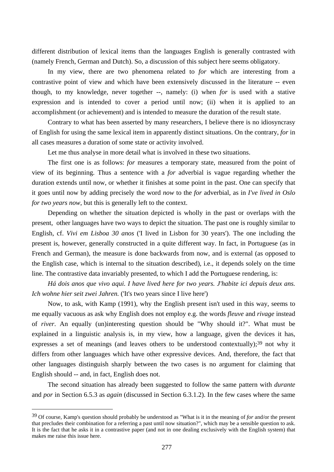different distribution of lexical items than the languages English is generally contrasted with (namely French, German and Dutch). So, a discussion of this subject here seems obligatory.

In my view, there are two phenomena related to *for* which are interesting from a contrastive point of view and which have been extensively discussed in the literature -- even though, to my knowledge, never together --, namely: (i) when *for* is used with a stative expression and is intended to cover a period until now; (ii) when it is applied to an accomplishment (or achievement) and is intended to measure the duration of the result state.

Contrary to what has been asserted by many researchers, I believe there is no idiosyncrasy of English for using the same lexical item in apparently distinct situations. On the contrary, *for* in all cases measures a duration of some state or activity involved.

Let me thus analyse in more detail what is involved in these two situations.

The first one is as follows: *for* measures a temporary state, measured from the point of view of its beginning. Thus a sentence with a *for* adverbial is vague regarding whether the duration extends until now, or whether it finishes at some point in the past. One can specify that it goes until now by adding precisely the word *now* to the *for* adverbial, as in *I've lived in Oslo for two years now*, but this is generally left to the context.

Depending on whether the situation depicted is wholly in the past or overlaps with the present, other languages have two ways to depict the situation. The past one is roughly similar to English, cf. *Vivi em Lisboa 30 anos* ('I lived in Lisbon for 30 years'). The one including the present is, however, generally constructed in a quite different way. In fact, in Portuguese (as in French and German), the measure is done backwards from now, and is external (as opposed to the English case, which is internal to the situation described), i.e., it depends solely on the time line. The contrastive data invariably presented, to which I add the Portuguese rendering, is:

*Há dois anos que vivo aqui. I have lived here for two years. J'habite ici depuis deux ans. Ich wohne hier seit zwei Jahren.* ('It's two years since I live here')

Now, to ask, with Kamp (1991), why the English present isn't used in this way, seems to me equally vacuous as ask why English does not employ e.g. the words *fleuve* and *rivage* instead of *river*. An equally (un)interesting question should be "Why should it?". What must be explained in a linguistic analysis is, in my view, how a language, given the devices it has, expresses a set of meanings (and leaves others to be understood contextually);<sup>39</sup> not why it differs from other languages which have other expressive devices. And, therefore, the fact that other languages distinguish sharply between the two cases is no argument for claiming that English should -- and, in fact, English does not.

The second situation has already been suggested to follow the same pattern with *durante* and *por* in Section 6.5.3 as *again* (discussed in Section 6.3.1.2). In the few cases where the same

 $\overline{a}$ 

<sup>39</sup> Of course, Kamp's question should probably be understood as "What is it in the meaning of *for* and/or the present that precludes their combination for a referring a past until now situation?", which may be a sensible question to ask. It is the fact that he asks it in a contrastive paper (and not in one dealing exclusively with the English system) that makes me raise this issue here.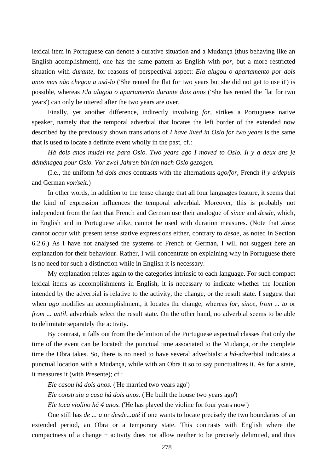lexical item in Portuguese can denote a durative situation and a Mudança (thus behaving like an English acomplishment), one has the same pattern as English with *por*, but a more restricted situation with *durante*, for reasons of perspectival aspect: *Ela alugou o apartamento por dois anos mas não chegou a usá-lo* ('She rented the flat for two years but she did not get to use it') is possible, whereas *Ela alugou o apartamento durante dois anos* ('She has rented the flat for two years') can only be uttered after the two years are over.

Finally, yet another difference, indirectly involving *for*, strikes a Portuguese native speaker, namely that the temporal adverbial that locates the left border of the extended now described by the previously shown translations of *I have lived in Oslo for two years* is the same that is used to locate a definite event wholly in the past, cf.:

*Há dois anos mudei-me para Oslo. Two years ago I moved to Oslo. Il y a deux ans je déménagea pour Oslo. Vor zwei Jahren bin ich nach Oslo gezogen.*

(I.e., the uniform *há dois anos* contrasts with the alternations *ago/for*, French *il y a/depuis* and German *vor/seit*.)

In other words, in addition to the tense change that all four languages feature, it seems that the kind of expression influences the temporal adverbial. Moreover, this is probably not independent from the fact that French and German use their analogue of *since* and *desde*, which, in English and in Portuguese alike, cannot be used with duration measures. (Note that *since* cannot occur with present tense stative expressions either, contrary to *desde*, as noted in Section 6.2.6.) As I have not analysed the systems of French or German, I will not suggest here an explanation for their behaviour. Rather, I will concentrate on explaining why in Portuguese there is no need for such a distinction while in English it is necessary.

My explanation relates again to the categories intrinsic to each language. For such compact lexical items as accomplishments in English, it is necessary to indicate whether the location intended by the adverbial is relative to the activity, the change, or the result state. I suggest that when *ago* modifies an accomplishment, it locates the change, whereas *for*, *since*, *from ... to* or *from ... until.* adverbials select the result state. On the other hand, no adverbial seems to be able to delimitate separately the activity.

By contrast, it falls out from the definition of the Portuguese aspectual classes that only the time of the event can be located: the punctual time associated to the Mudança, or the complete time the Obra takes. So, there is no need to have several adverbials: a *há*-adverbial indicates a punctual location with a Mudança, while with an Obra it so to say punctualizes it. As for a state, it measures it (with Presente); cf.:

*Ele casou há dois anos.* ('He married two years ago')

*Ele construiu a casa há dois anos.* ('He built the house two years ago')

*Ele toca violino há 4 anos.* ('He has played the violine for four years now')

One still has *de ... a* or *desde...até* if one wants to locate precisely the two boundaries of an extended period, an Obra or a temporary state. This contrasts with English where the compactness of a change + activity does not allow neither to be precisely delimited, and thus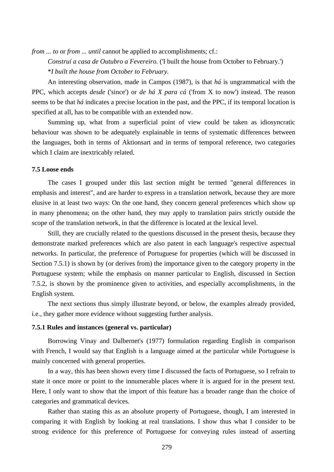*from ... to* or *from ... until* cannot be applied to accomplishments; cf.:

*Construí a casa de Outubro a Fevereiro.* ('I built the house from October to February.') \**I built the house from October to February.*

An interesting observation, made in Campos (1987), is that *há* is ungrammatical with the PPC, which accepts *desde* ('since') or *de há X para cá* ('from X to now') instead. The reason seems to be that *há* indicates a precise location in the past, and the PPC, if its temporal location is specified at all, has to be compatible with an extended now.

Summing up, what from a superficial point of view could be taken as idiosyncratic behaviour was shown to be adequately explainable in terms of systematic differences between the languages, both in terms of Aktionsart and in terms of temporal reference, two categories which I claim are inextricably related.

### **7.5 Loose ends**

The cases I grouped under this last section might be termed "general differences in emphasis and interest", and are harder to express in a translation network, because they are more elusive in at least two ways: On the one hand, they concern general preferences which show up in many phenomena; on the other hand, they may apply to translation pairs strictly outside the scope of the translation network, in that the difference is located at the lexical level.

Still, they are crucially related to the questions discussed in the present thesis, because they demonstrate marked preferences which are also patent in each language's respective aspectual networks. In particular, the preference of Portuguese for properties (which will be discussed in Section 7.5.1) is shown by (or derives from) the importance given to the category property in the Portuguese system; while the emphasis on manner particular to English, discussed in Section 7.5.2, is shown by the prominence given to activities, and especially accomplishments, in the English system.

The next sections thus simply illustrate beyond, or below, the examples already provided, i.e., they gather more evidence without suggesting further analysis.

#### **7.5.1 Rules and instances (general vs. particular)**

Borrowing Vinay and Dalbernet's (1977) formulation regarding English in comparison with French, I would say that English is a language aimed at the particular while Portuguese is mainly concerned with general properties.

In a way, this has been shown every time I discussed the facts of Portuguese, so I refrain to state it once more or point to the innumerable places where it is argued for in the present text. Here, I only want to show that the import of this feature has a broader range than the choice of categories and grammatical devices.

Rather than stating this as an absolute property of Portuguese, though, I am interested in comparing it with English by looking at real translations. I show thus what I consider to be strong evidence for this preference of Portuguese for conveying rules instead of asserting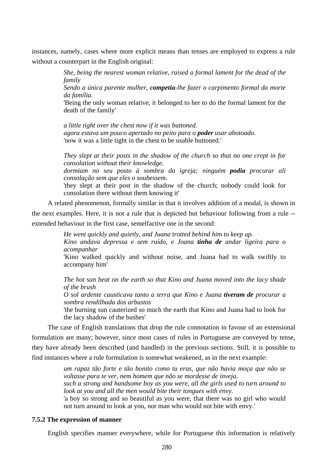instances, namely, cases where more explicit means than tenses are employed to express a rule without a counterpart in the English original:

> *She, being the nearest woman relative, raised a formal lament for the dead of the family*

> *Sendo a única parente mulher, competia-lhe fazer o carpimento formal da morte da família.*

> 'Being the only woman relative, it belonged to her to do the formal lament for the death of the family'

*a little tight over the chest now if it was buttoned. agora estava um pouco apertado no peito para o poder usar abotoado.*  'now it was a little tight in the chest to be usable buttoned.'

*They slept at their posts in the shadow of the church so that no one crept in for consolation without their knowledge.* 

*dormiam no seu posto à sombra da igreja; ninguém podia procurar ali consolação sem que eles o soubessem.* 

'they slept at their post in the shadow of the church; nobody could look for consolation there without them knowing it'

A related phenomenon, formally similar in that it involves addition of a modal, is shown in the next examples. Here, it is not a rule that is depicted but behaviour following from a rule - extended behaviour in the first case, semelfactive one in the second:

> *He went quickly and quietly, and Juana trotted behind him to keep up. Kino andava depressa e sem ruído, e Joana tinha de andar ligeira para o acompanhar*

> 'Kino walked quickly and without noise, and Juana had to walk swiftly to accompany him'

> *The hot sun beat on the earth so that Kino and Juana moved into the lacy shade of the brush*

> *O sol ardente causticava tanto a terra que Kino e Juana tiveram de procurar a sombra rendilhada dos arbustos*

> 'the burning sun cauterized so much the earth that Kino and Juana had to look for the lacy shadow of the bushes'

The case of English translations that drop the rule connotation in favour of an extensional formulation are many; however, since most cases of rules in Portuguese are conveyed by tense, they have already been described (and handled) in the previous sections. Still, it is possible to find instances where a rule formulation is somewhat weakened, as in the next example:

> *um rapaz tão forte e tão bonito como tu eras, que não havia moça que não se voltasse para te ver, nem homem que não se mordesse de inveja. such a strong and handsome boy as you were, all the girls used to turn around to look at you and all the men would bite their tongues with envy.*  'a boy so strong and so beautiful as you were, that there was no girl who would not turn around to look at you, nor man who would not bite with envy.'

# **7.5.2 The expression of manner**

English specifies manner everywhere, while for Portuguese this information is relatively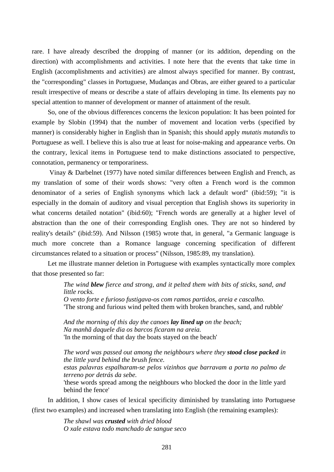rare. I have already described the dropping of manner (or its addition, depending on the direction) with accomplishments and activities. I note here that the events that take time in English (accomplishments and activities) are almost always specified for manner. By contrast, the "corresponding" classes in Portuguese, Mudanças and Obras, are either geared to a particular result irrespective of means or describe a state of affairs developing in time. Its elements pay no special attention to manner of development or manner of attainment of the result.

So, one of the obvious differences concerns the lexicon population: It has been pointed for example by Slobin (1994) that the number of movement and location verbs (specified by manner) is considerably higher in English than in Spanish; this should apply *mutatis mutandis* to Portuguese as well. I believe this is also true at least for noise-making and appearance verbs. On the contrary, lexical items in Portuguese tend to make distinctions associated to perspective, connotation, permanency or temporariness.

 Vinay & Darbelnet (1977) have noted similar differences between English and French, as my translation of some of their words shows: "very often a French word is the common denominator of a series of English synonyms which lack a default word" (ibid:59); "it is especially in the domain of auditory and visual perception that English shows its superiority in what concerns detailed notation" (ibid:60); "French words are generally at a higher level of abstraction than the one of their corresponding English ones. They are not so hindered by reality's details" (ibid:59). And Nilsson (1985) wrote that, in general, "a Germanic language is much more concrete than a Romance language concerning specification of different circumstances related to a situation or process" (Nilsson, 1985:89, my translation).

Let me illustrate manner deletion in Portuguese with examples syntactically more complex that those presented so far:

> *The wind blew fierce and strong, and it pelted them with bits of sticks, sand, and little rocks. O vento forte e furioso fustigava-os com ramos partidos, areia e cascalho.*  'The strong and furious wind pelted them with broken branches, sand, and rubble'

*And the morning of this day the canoes lay lined up on the beach; Na manhã daquele dia os barcos ficaram na areia.*  'In the morning of that day the boats stayed on the beach'

*The word was passed out among the neighbours where they stood close packed in the little yard behind the brush fence. estas palavras espalharam-se pelos vizinhos que barravam a porta no palmo de terreno por detrás da sebe.* 

'these words spread among the neighbours who blocked the door in the little yard behind the fence'

In addition, I show cases of lexical specificity diminished by translating into Portuguese (first two examples) and increased when translating into English (the remaining examples):

> *The shawl was crusted with dried blood O xale estava todo manchado de sangue seco*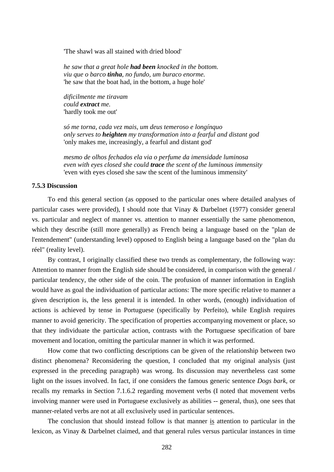'The shawl was all stained with dried blood'

*he saw that a great hole had been knocked in the bottom. viu que o barco tinha, no fundo, um buraco enorme.*  'he saw that the boat had, in the bottom, a huge hole'

*dificilmente me tiravam could extract me.*  'hardly took me out'

*só me torna, cada vez mais, um deus temeroso e longínquo only serves to heighten my transformation into a fearful and distant god*  'only makes me, increasingly, a fearful and distant god'

*mesmo de olhos fechados ela via o perfume da imensidade luminosa even with eyes closed she could trace the scent of the luminous immensity*  'even with eyes closed she saw the scent of the luminous immensity'

#### **7.5.3 Discussion**

To end this general section (as opposed to the particular ones where detailed analyses of particular cases were provided), I should note that Vinay & Darbelnet (1977) consider general vs. particular and neglect of manner vs. attention to manner essentially the same phenomenon, which they describe (still more generally) as French being a language based on the "plan de l'entendement" (understanding level) opposed to English being a language based on the "plan du réel" (reality level).

By contrast, I originally classified these two trends as complementary, the following way: Attention to manner from the English side should be considered, in comparison with the general / particular tendency, the other side of the coin. The profusion of manner information in English would have as goal the individuation of particular actions: The more specific relative to manner a given description is, the less general it is intended. In other words, (enough) individuation of actions is achieved by tense in Portuguese (specifically by Perfeito), while English requires manner to avoid genericity. The specification of properties accompanying movement or place, so that they individuate the particular action, contrasts with the Portuguese specification of bare movement and location, omitting the particular manner in which it was performed.

How come that two conflicting descriptions can be given of the relationship between two distinct phenomena? Reconsidering the question, I concluded that my original analysis (just expressed in the preceding paragraph) was wrong. Its discussion may nevertheless cast some light on the issues involved. In fact, if one considers the famous generic sentence *Dogs bark*, or recalls my remarks in Section 7.1.6.2 regarding movement verbs (I noted that movement verbs involving manner were used in Portuguese exclusively as abilities -- general, thus), one sees that manner-related verbs are not at all exclusively used in particular sentences.

The conclusion that should instead follow is that manner is attention to particular in the lexicon, as Vinay & Darbelnet claimed, and that general rules versus particular instances in time